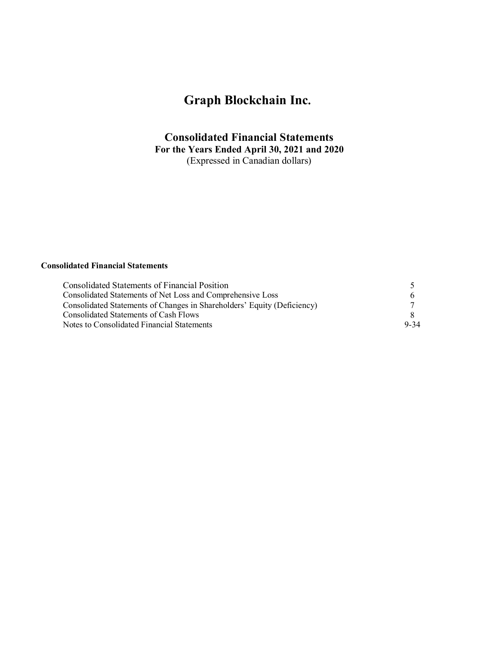**Consolidated Financial Statements For the Years Ended April 30, 2021 and 2020** (Expressed in Canadian dollars)

#### **Consolidated Financial Statements**

| Consolidated Statements of Financial Position                           |          |
|-------------------------------------------------------------------------|----------|
| Consolidated Statements of Net Loss and Comprehensive Loss              |          |
| Consolidated Statements of Changes in Shareholders' Equity (Deficiency) |          |
| Consolidated Statements of Cash Flows                                   |          |
| Notes to Consolidated Financial Statements                              | $9 - 34$ |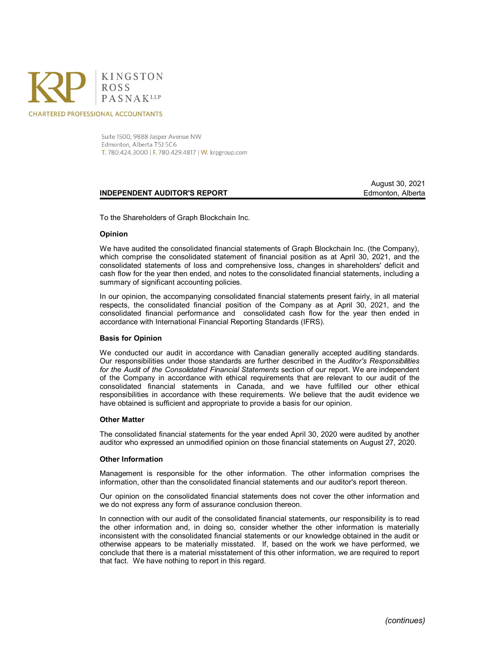

**CHARTERED PROFESSIONAL ACCOUNTANTS** 

Suite 1500, 9888 Jasper Avenue NW Edmonton, Alberta T5J 5C6 T. 780.424.3000 | F. 780.429.4817 | W. krpgroup.com

#### **INDEPENDENT AUDITOR'S REPORT EDITY AND ALGO AT A REPORT** Edmonton, Alberta

August 30, 2021

To the Shareholders of Graph Blockchain Inc.

#### **Opinion**

We have audited the consolidated financial statements of Graph Blockchain Inc. (the Company), which comprise the consolidated statement of financial position as at April 30, 2021, and the consolidated statements of loss and comprehensive loss, changes in shareholders' deficit and cash flow for the year then ended, and notes to the consolidated financial statements, including a summary of significant accounting policies.

In our opinion, the accompanying consolidated financial statements present fairly, in all material respects, the consolidated financial position of the Company as at April 30, 2021, and the consolidated financial performance and consolidated cash flow for the year then ended in accordance with International Financial Reporting Standards (IFRS).

#### **Basis for Opinion**

We conducted our audit in accordance with Canadian generally accepted auditing standards. Our responsibilities under those standards are further described in the *Auditor's Responsibilities for the Audit of the Consolidated Financial Statements* section of our report. We are independent of the Company in accordance with ethical requirements that are relevant to our audit of the consolidated financial statements in Canada, and we have fulfilled our other ethical responsibilities in accordance with these requirements. We believe that the audit evidence we have obtained is sufficient and appropriate to provide a basis for our opinion.

#### **Other Matter**

The consolidated financial statements for the year ended April 30, 2020 were audited by another auditor who expressed an unmodified opinion on those financial statements on August 27, 2020.

#### **Other Information**

Management is responsible for the other information. The other information comprises the information, other than the consolidated financial statements and our auditor's report thereon.

Our opinion on the consolidated financial statements does not cover the other information and we do not express any form of assurance conclusion thereon.

In connection with our audit of the consolidated financial statements, our responsibility is to read the other information and, in doing so, consider whether the other information is materially inconsistent with the consolidated financial statements or our knowledge obtained in the audit or otherwise appears to be materially misstated. If, based on the work we have performed, we conclude that there is a material misstatement of this other information, we are required to report that fact. We have nothing to report in this regard.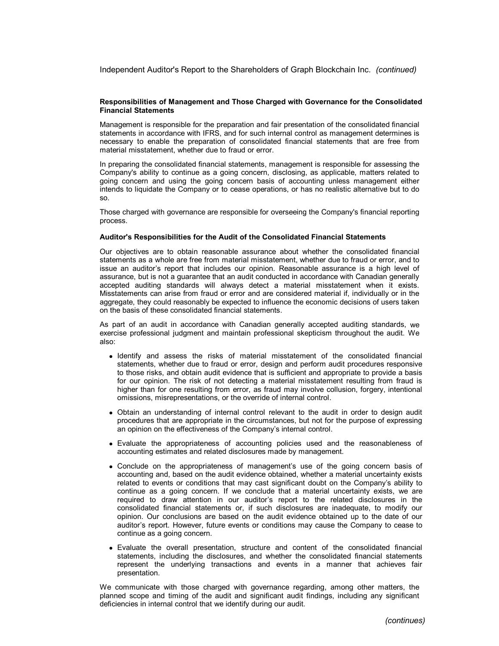Independent Auditor's Report to the Shareholders of Graph Blockchain Inc. *(continued)*

#### **Responsibilities of Management and Those Charged with Governance for the Consolidated Financial Statements**

Management is responsible for the preparation and fair presentation of the consolidated financial statements in accordance with IFRS, and for such internal control as management determines is necessary to enable the preparation of consolidated financial statements that are free from material misstatement, whether due to fraud or error.

In preparing the consolidated financial statements, management is responsible for assessing the Company's ability to continue as a going concern, disclosing, as applicable, matters related to going concern and using the going concern basis of accounting unless management either intends to liquidate the Company or to cease operations, or has no realistic alternative but to do so.

Those charged with governance are responsible for overseeing the Company's financial reporting process.

#### **Auditor's Responsibilities for the Audit of the Consolidated Financial Statements**

Our objectives are to obtain reasonable assurance about whether the consolidated financial statements as a whole are free from material misstatement, whether due to fraud or error, and to issue an auditor's report that includes our opinion. Reasonable assurance is a high level of assurance, but is not a guarantee that an audit conducted in accordance with Canadian generally accepted auditing standards will always detect a material misstatement when it exists. Misstatements can arise from fraud or error and are considered material if, individually or in the aggregate, they could reasonably be expected to influence the economic decisions of users taken on the basis of these consolidated financial statements.

As part of an audit in accordance with Canadian generally accepted auditing standards, we exercise professional judgment and maintain professional skepticism throughout the audit. We also:

- Identify and assess the risks of material misstatement of the consolidated financial statements, whether due to fraud or error, design and perform audit procedures responsive to those risks, and obtain audit evidence that is sufficient and appropriate to provide a basis for our opinion. The risk of not detecting a material misstatement resulting from fraud is higher than for one resulting from error, as fraud may involve collusion, forgery, intentional omissions, misrepresentations, or the override of internal control.
- Obtain an understanding of internal control relevant to the audit in order to design audit procedures that are appropriate in the circumstances, but not for the purpose of expressing an opinion on the effectiveness of the Company's internal control.
- Evaluate the appropriateness of accounting policies used and the reasonableness of accounting estimates and related disclosures made by management.
- Conclude on the appropriateness of management's use of the going concern basis of accounting and, based on the audit evidence obtained, whether a material uncertainty exists related to events or conditions that may cast significant doubt on the Company's ability to continue as a going concern. If we conclude that a material uncertainty exists, we are required to draw attention in our auditor's report to the related disclosures in the consolidated financial statements or, if such disclosures are inadequate, to modify our opinion. Our conclusions are based on the audit evidence obtained up to the date of our auditor's report. However, future events or conditions may cause the Company to cease to continue as a going concern.
- <sup>l</sup> Evaluate the overall presentation, structure and content of the consolidated financial statements, including the disclosures, and whether the consolidated financial statements represent the underlying transactions and events in a manner that achieves fair presentation.

We communicate with those charged with governance regarding, among other matters, the planned scope and timing of the audit and significant audit findings, including any significant deficiencies in internal control that we identify during our audit.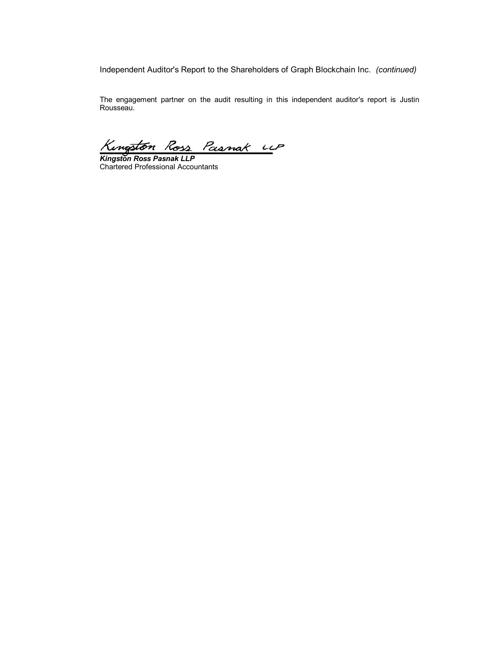Independent Auditor's Report to the Shareholders of Graph Blockchain Inc. *(continued)*

The engagement partner on the audit resulting in this independent auditor's report is Justin Rousseau.

*Kingston Ross Pasnak LLP*

Chartered Professional Accountants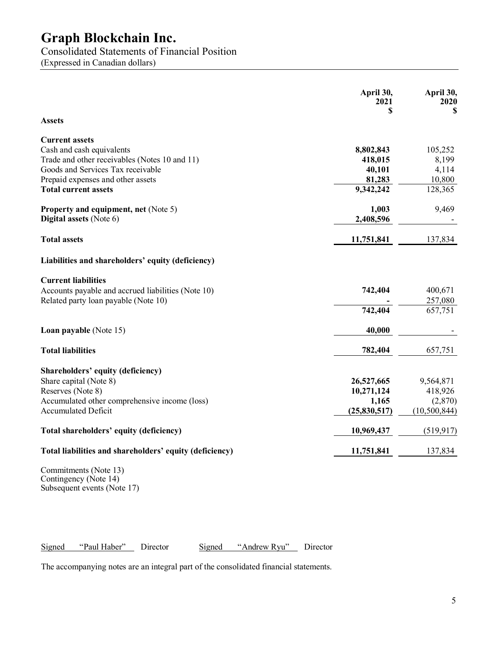Consolidated Statements of Financial Position

(Expressed in Canadian dollars)

|                                                                               | April 30,<br>2021<br>S | April 30,<br>2020<br>S |
|-------------------------------------------------------------------------------|------------------------|------------------------|
| <b>Assets</b>                                                                 |                        |                        |
| <b>Current assets</b>                                                         |                        |                        |
| Cash and cash equivalents                                                     | 8,802,843              | 105,252                |
| Trade and other receivables (Notes 10 and 11)                                 | 418,015                | 8,199                  |
| Goods and Services Tax receivable                                             | 40,101                 | 4,114                  |
| Prepaid expenses and other assets                                             | 81,283                 | 10,800                 |
| <b>Total current assets</b>                                                   | 9,342,242              | 128,365                |
| <b>Property and equipment, net (Note 5)</b>                                   | 1,003                  | 9,469                  |
| Digital assets (Note 6)                                                       | 2,408,596              |                        |
| <b>Total assets</b>                                                           | 11,751,841             | 137,834                |
| Liabilities and shareholders' equity (deficiency)                             |                        |                        |
| <b>Current liabilities</b>                                                    |                        |                        |
| Accounts payable and accrued liabilities (Note 10)                            | 742,404                | 400,671                |
| Related party loan payable (Note 10)                                          |                        | 257,080                |
|                                                                               | 742,404                | 657,751                |
| Loan payable (Note 15)                                                        | 40,000                 |                        |
| <b>Total liabilities</b>                                                      | 782,404                | 657,751                |
| Shareholders' equity (deficiency)                                             |                        |                        |
| Share capital (Note 8)                                                        | 26,527,665             | 9,564,871              |
| Reserves (Note 8)                                                             | 10,271,124             | 418,926                |
| Accumulated other comprehensive income (loss)                                 | 1,165                  | (2,870)                |
| <b>Accumulated Deficit</b>                                                    | (25, 830, 517)         | (10,500,844)           |
| Total shareholders' equity (deficiency)                                       | 10,969,437             | (519, 917)             |
| Total liabilities and shareholders' equity (deficiency)                       | 11,751,841             | 137,834                |
| Commitments (Note 13)<br>Contingency (Note 14)<br>Subsequent events (Note 17) |                        |                        |

Signed "Paul Haber" Director Signed "Andrew Ryu" Director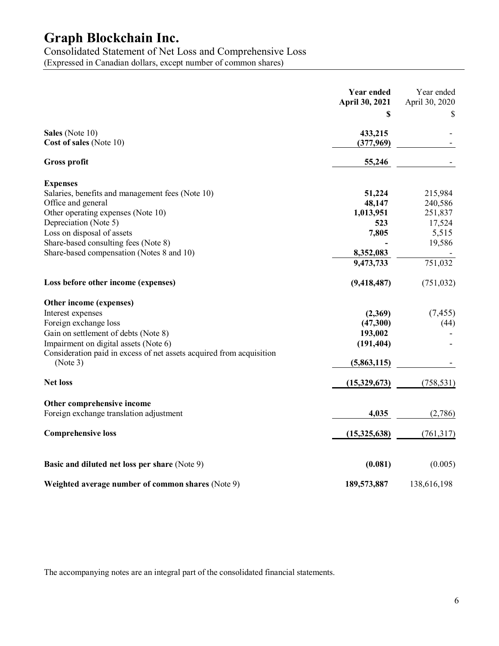Consolidated Statement of Net Loss and Comprehensive Loss (Expressed in Canadian dollars, except number of common shares)

|                                                                      | <b>Year ended</b><br>April 30, 2021 | Year ended<br>April 30, 2020 |
|----------------------------------------------------------------------|-------------------------------------|------------------------------|
|                                                                      | \$                                  | \$                           |
| Sales (Note 10)<br>Cost of sales (Note 10)                           | 433,215<br>(377,969)                |                              |
| <b>Gross profit</b>                                                  | 55,246                              |                              |
| <b>Expenses</b>                                                      |                                     |                              |
| Salaries, benefits and management fees (Note 10)                     | 51,224                              | 215,984                      |
| Office and general                                                   | 48,147                              | 240,586                      |
| Other operating expenses (Note 10)                                   | 1,013,951                           | 251,837                      |
| Depreciation (Note 5)                                                | 523                                 | 17,524                       |
| Loss on disposal of assets                                           | 7,805                               | 5,515                        |
| Share-based consulting fees (Note 8)                                 |                                     | 19,586                       |
| Share-based compensation (Notes 8 and 10)                            | 8,352,083                           |                              |
|                                                                      | 9,473,733                           | 751,032                      |
| Loss before other income (expenses)                                  | (9, 418, 487)                       | (751, 032)                   |
| Other income (expenses)                                              |                                     |                              |
| Interest expenses                                                    | (2,369)                             | (7, 455)                     |
| Foreign exchange loss                                                | (47,300)                            | (44)                         |
| Gain on settlement of debts (Note 8)                                 | 193,002                             |                              |
| Impairment on digital assets (Note 6)                                | (191, 404)                          |                              |
| Consideration paid in excess of net assets acquired from acquisition |                                     |                              |
| (Note 3)                                                             | (5,863,115)                         |                              |
| <b>Net loss</b>                                                      | (15,329,673)                        | (758, 531)                   |
| Other comprehensive income                                           |                                     |                              |
| Foreign exchange translation adjustment                              | 4,035                               |                              |
|                                                                      |                                     | (2,786)                      |
| <b>Comprehensive loss</b>                                            | (15,325,638)                        | (761, 317)                   |
| <b>Basic and diluted net loss per share (Note 9)</b>                 | (0.081)                             | (0.005)                      |
| Weighted average number of common shares (Note 9)                    | 189,573,887                         | 138,616,198                  |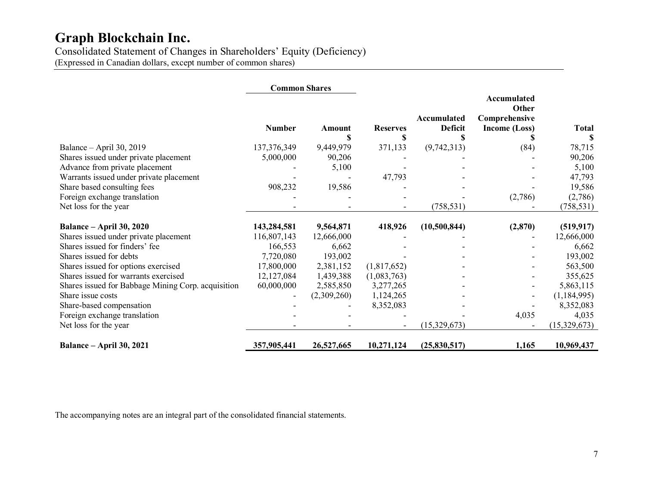#### Consolidated Statement of Changes in Shareholders' Equity (Deficiency) (Expressed in Canadian dollars, except number of common shares)

|                                                                         | <b>Common Shares</b> |                |                 |                                      |                                                        |                 |
|-------------------------------------------------------------------------|----------------------|----------------|-----------------|--------------------------------------|--------------------------------------------------------|-----------------|
|                                                                         | <b>Number</b>        | Amount         | <b>Reserves</b> | <b>Accumulated</b><br><b>Deficit</b> | Accumulated<br>Other<br>Comprehensive<br>Income (Loss) | <b>Total</b>    |
| Balance – April 30, 2019                                                | 137, 376, 349        | S<br>9,449,979 | S<br>371,133    | S<br>(9,742,313)                     | (84)                                                   | S<br>78,715     |
|                                                                         |                      |                |                 |                                      |                                                        |                 |
| Shares issued under private placement<br>Advance from private placement | 5,000,000            | 90,206         |                 |                                      |                                                        | 90,206          |
|                                                                         |                      | 5,100          |                 |                                      |                                                        | 5,100<br>47,793 |
| Warrants issued under private placement<br>Share based consulting fees  | 908,232              | 19,586         | 47,793          |                                      |                                                        | 19,586          |
| Foreign exchange translation                                            |                      |                |                 |                                      |                                                        |                 |
| Net loss for the year                                                   |                      |                |                 | (758, 531)                           | (2,786)                                                | (2,786)         |
|                                                                         |                      |                |                 |                                      |                                                        | (758, 531)      |
| <b>Balance – April 30, 2020</b>                                         | 143,284,581          | 9,564,871      | 418,926         | (10,500,844)                         | (2,870)                                                | (519, 917)      |
| Shares issued under private placement                                   | 116,807,143          | 12,666,000     |                 |                                      |                                                        | 12,666,000      |
| Shares issued for finders' fee                                          | 166,553              | 6,662          |                 |                                      |                                                        | 6,662           |
| Shares issued for debts                                                 | 7,720,080            | 193,002        |                 |                                      |                                                        | 193,002         |
| Shares issued for options exercised                                     | 17,800,000           | 2,381,152      | (1,817,652)     |                                      |                                                        | 563,500         |
| Shares issued for warrants exercised                                    | 12,127,084           | 1,439,388      | (1,083,763)     |                                      |                                                        | 355,625         |
| Shares issued for Babbage Mining Corp. acquisition                      | 60,000,000           | 2,585,850      | 3,277,265       |                                      |                                                        | 5,863,115       |
| Share issue costs                                                       |                      | (2,309,260)    | 1,124,265       |                                      |                                                        | (1,184,995)     |
| Share-based compensation                                                |                      |                | 8,352,083       |                                      |                                                        | 8,352,083       |
| Foreign exchange translation                                            |                      |                |                 |                                      | 4,035                                                  | 4,035           |
| Net loss for the year                                                   |                      |                |                 | (15,329,673)                         |                                                        | (15,329,673)    |
| <b>Balance – April 30, 2021</b>                                         | 357,905,441          | 26,527,665     | 10,271,124      | (25,830,517)                         | 1,165                                                  | 10,969,437      |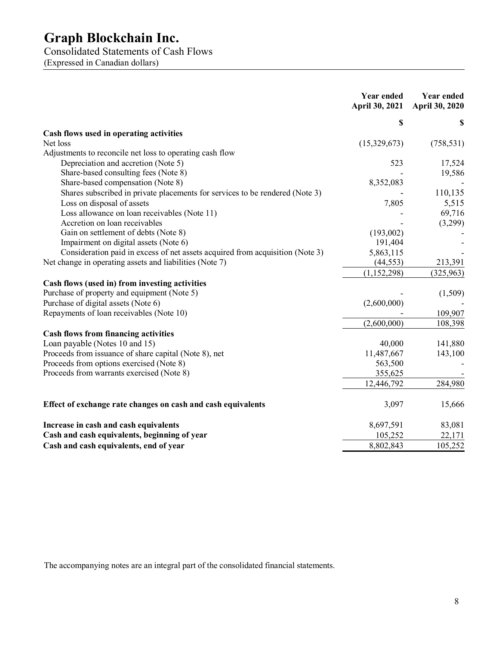Consolidated Statements of Cash Flows (Expressed in Canadian dollars)

|                                                                               | <b>Year ended</b><br>April 30, 2021 | <b>Year ended</b><br>April 30, 2020 |
|-------------------------------------------------------------------------------|-------------------------------------|-------------------------------------|
|                                                                               | \$                                  | \$                                  |
| Cash flows used in operating activities                                       |                                     |                                     |
| Net loss                                                                      | (15,329,673)                        | (758, 531)                          |
| Adjustments to reconcile net loss to operating cash flow                      |                                     |                                     |
| Depreciation and accretion (Note 5)                                           | 523                                 | 17,524                              |
| Share-based consulting fees (Note 8)                                          |                                     | 19,586                              |
| Share-based compensation (Note 8)                                             | 8,352,083                           |                                     |
| Shares subscribed in private placements for services to be rendered (Note 3)  |                                     | 110,135                             |
| Loss on disposal of assets                                                    | 7,805                               | 5,515                               |
| Loss allowance on loan receivables (Note 11)                                  |                                     | 69,716                              |
| Accretion on loan receivables                                                 |                                     | (3,299)                             |
| Gain on settlement of debts (Note 8)                                          | (193,002)                           |                                     |
| Impairment on digital assets (Note 6)                                         | 191,404                             |                                     |
| Consideration paid in excess of net assets acquired from acquisition (Note 3) | 5,863,115                           |                                     |
| Net change in operating assets and liabilities (Note 7)                       | (44, 553)                           | 213,391                             |
|                                                                               | (1, 152, 298)                       | (325,963)                           |
| Cash flows (used in) from investing activities                                |                                     |                                     |
| Purchase of property and equipment (Note 5)                                   |                                     | (1,509)                             |
| Purchase of digital assets (Note 6)                                           | (2,600,000)                         |                                     |
| Repayments of loan receivables (Note 10)                                      |                                     | 109,907                             |
|                                                                               | (2,600,000)                         | 108,398                             |
| <b>Cash flows from financing activities</b>                                   |                                     |                                     |
| Loan payable (Notes 10 and 15)                                                | 40,000                              | 141,880                             |
| Proceeds from issuance of share capital (Note 8), net                         | 11,487,667                          | 143,100                             |
| Proceeds from options exercised (Note 8)                                      | 563,500                             |                                     |
| Proceeds from warrants exercised (Note 8)                                     | 355,625                             |                                     |
|                                                                               | 12,446,792                          | 284,980                             |
| Effect of exchange rate changes on cash and cash equivalents                  | 3,097                               | 15,666                              |
| Increase in cash and cash equivalents                                         | 8,697,591                           | 83,081                              |
| Cash and cash equivalents, beginning of year                                  | 105,252                             | 22,171                              |
| Cash and cash equivalents, end of year                                        | 8,802,843                           | 105,252                             |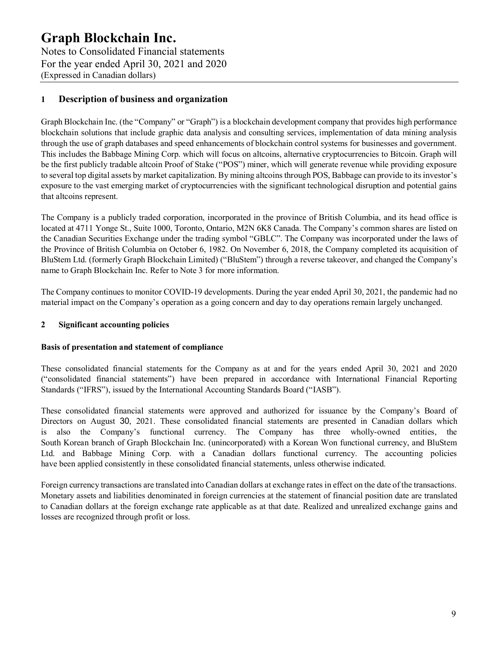Notes to Consolidated Financial statements For the year ended April 30, 2021 and 2020 (Expressed in Canadian dollars)

#### **1 Description of business and organization**

Graph Blockchain Inc. (the "Company" or "Graph") is a blockchain development company that provides high performance blockchain solutions that include graphic data analysis and consulting services, implementation of data mining analysis through the use of graph databases and speed enhancements of blockchain control systems for businesses and government. This includes the Babbage Mining Corp. which will focus on altcoins, alternative cryptocurrencies to Bitcoin. Graph will be the first publicly tradable altcoin Proof of Stake ("POS") miner, which will generate revenue while providing exposure to several top digital assets by market capitalization. By mining altcoins through POS, Babbage can provide to its investor's exposure to the vast emerging market of cryptocurrencies with the significant technological disruption and potential gains that altcoins represent.

The Company is a publicly traded corporation, incorporated in the province of British Columbia, and its head office is located at 4711 Yonge St., Suite 1000, Toronto, Ontario, M2N 6K8 Canada. The Company's common shares are listed on the Canadian Securities Exchange under the trading symbol "GBLC". The Company was incorporated under the laws of the Province of British Columbia on October 6, 1982. On November 6, 2018, the Company completed its acquisition of BluStem Ltd. (formerly Graph Blockchain Limited) ("BluStem") through a reverse takeover, and changed the Company's name to Graph Blockchain Inc. Refer to Note 3 for more information.

The Company continues to monitor COVID-19 developments. During the year ended April 30, 2021, the pandemic had no material impact on the Company's operation as a going concern and day to day operations remain largely unchanged.

#### **2 Significant accounting policies**

#### **Basis of presentation and statement of compliance**

These consolidated financial statements for the Company as at and for the years ended April 30, 2021 and 2020 ("consolidated financial statements") have been prepared in accordance with International Financial Reporting Standards ("IFRS"), issued by the International Accounting Standards Board ("IASB").

These consolidated financial statements were approved and authorized for issuance by the Company's Board of Directors on August 30, 2021. These consolidated financial statements are presented in Canadian dollars which is also the Company's functional currency. The Company has three wholly-owned entities, the South Korean branch of Graph Blockchain Inc. (unincorporated) with a Korean Won functional currency, and BluStem Ltd. and Babbage Mining Corp. with a Canadian dollars functional currency. The accounting policies have been applied consistently in these consolidated financial statements, unless otherwise indicated.

Foreign currency transactions are translated into Canadian dollars at exchange rates in effect on the date of the transactions. Monetary assets and liabilities denominated in foreign currencies at the statement of financial position date are translated to Canadian dollars at the foreign exchange rate applicable as at that date. Realized and unrealized exchange gains and losses are recognized through profit or loss.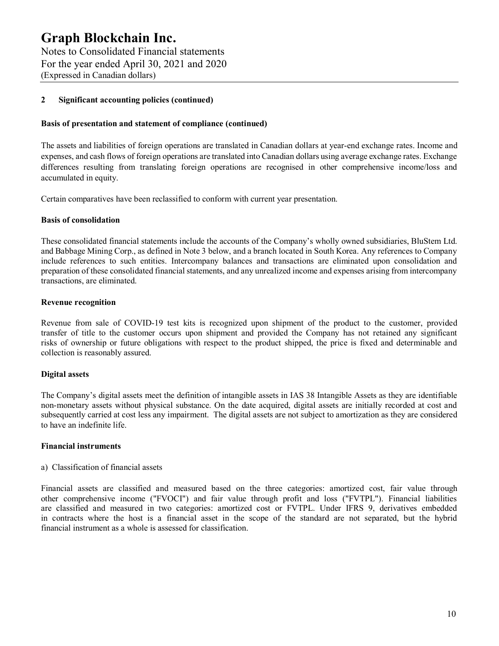Notes to Consolidated Financial statements For the year ended April 30, 2021 and 2020 (Expressed in Canadian dollars)

#### **2 Significant accounting policies (continued)**

#### **Basis of presentation and statement of compliance (continued)**

The assets and liabilities of foreign operations are translated in Canadian dollars at year-end exchange rates. Income and expenses, and cash flows of foreign operations are translated into Canadian dollars using average exchange rates. Exchange differences resulting from translating foreign operations are recognised in other comprehensive income/loss and accumulated in equity.

Certain comparatives have been reclassified to conform with current year presentation.

#### **Basis of consolidation**

These consolidated financial statements include the accounts of the Company's wholly owned subsidiaries, BluStem Ltd. and Babbage Mining Corp., as defined in Note 3 below, and a branch located in South Korea. Any references to Company include references to such entities. Intercompany balances and transactions are eliminated upon consolidation and preparation of these consolidated financial statements, and any unrealized income and expenses arising from intercompany transactions, are eliminated.

#### **Revenue recognition**

Revenue from sale of COVID-19 test kits is recognized upon shipment of the product to the customer, provided transfer of title to the customer occurs upon shipment and provided the Company has not retained any significant risks of ownership or future obligations with respect to the product shipped, the price is fixed and determinable and collection is reasonably assured.

#### **Digital assets**

The Company's digital assets meet the definition of intangible assets in IAS 38 Intangible Assets as they are identifiable non-monetary assets without physical substance. On the date acquired, digital assets are initially recorded at cost and subsequently carried at cost less any impairment. The digital assets are not subject to amortization as they are considered to have an indefinite life.

#### **Financial instruments**

#### a) Classification of financial assets

Financial assets are classified and measured based on the three categories: amortized cost, fair value through other comprehensive income ("FVOCI") and fair value through profit and loss ("FVTPL"). Financial liabilities are classified and measured in two categories: amortized cost or FVTPL. Under IFRS 9, derivatives embedded in contracts where the host is a financial asset in the scope of the standard are not separated, but the hybrid financial instrument as a whole is assessed for classification.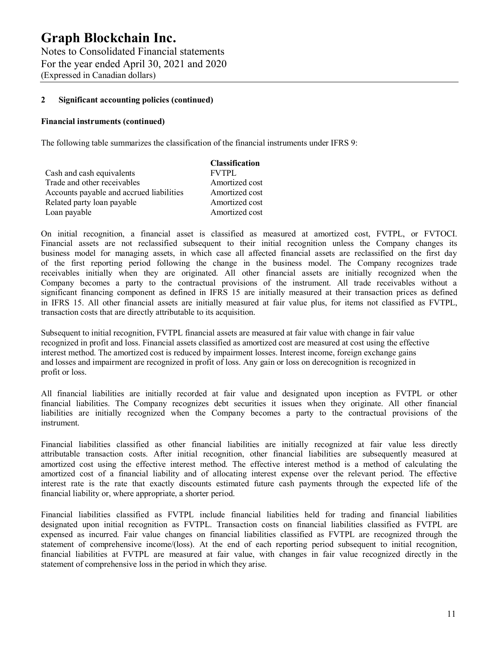Notes to Consolidated Financial statements For the year ended April 30, 2021 and 2020 (Expressed in Canadian dollars)

#### **2 Significant accounting policies (continued)**

#### **Financial instruments (continued)**

The following table summarizes the classification of the financial instruments under IFRS 9:

|                                          | <b>Classification</b> |
|------------------------------------------|-----------------------|
| Cash and cash equivalents                | <b>FVTPL</b>          |
| Trade and other receivables              | Amortized cost        |
| Accounts payable and accrued liabilities | Amortized cost        |
| Related party loan payable               | Amortized cost        |
| Loan payable                             | Amortized cost        |

On initial recognition, a financial asset is classified as measured at amortized cost, FVTPL, or FVTOCI. Financial assets are not reclassified subsequent to their initial recognition unless the Company changes its business model for managing assets, in which case all affected financial assets are reclassified on the first day of the first reporting period following the change in the business model. The Company recognizes trade receivables initially when they are originated. All other financial assets are initially recognized when the Company becomes a party to the contractual provisions of the instrument. All trade receivables without a significant financing component as defined in IFRS 15 are initially measured at their transaction prices as defined in IFRS 15. All other financial assets are initially measured at fair value plus, for items not classified as FVTPL, transaction costs that are directly attributable to its acquisition.

Subsequent to initial recognition, FVTPL financial assets are measured at fair value with change in fair value recognized in profit and loss. Financial assets classified as amortized cost are measured at cost using the effective interest method. The amortized cost is reduced by impairment losses. Interest income, foreign exchange gains and losses and impairment are recognized in profit of loss. Any gain or loss on derecognition is recognized in profit or loss.

All financial liabilities are initially recorded at fair value and designated upon inception as FVTPL or other financial liabilities. The Company recognizes debt securities it issues when they originate. All other financial liabilities are initially recognized when the Company becomes a party to the contractual provisions of the instrument.

Financial liabilities classified as other financial liabilities are initially recognized at fair value less directly attributable transaction costs. After initial recognition, other financial liabilities are subsequently measured at amortized cost using the effective interest method. The effective interest method is a method of calculating the amortized cost of a financial liability and of allocating interest expense over the relevant period. The effective interest rate is the rate that exactly discounts estimated future cash payments through the expected life of the financial liability or, where appropriate, a shorter period.

Financial liabilities classified as FVTPL include financial liabilities held for trading and financial liabilities designated upon initial recognition as FVTPL. Transaction costs on financial liabilities classified as FVTPL are expensed as incurred. Fair value changes on financial liabilities classified as FVTPL are recognized through the statement of comprehensive income/(loss). At the end of each reporting period subsequent to initial recognition, financial liabilities at FVTPL are measured at fair value, with changes in fair value recognized directly in the statement of comprehensive loss in the period in which they arise.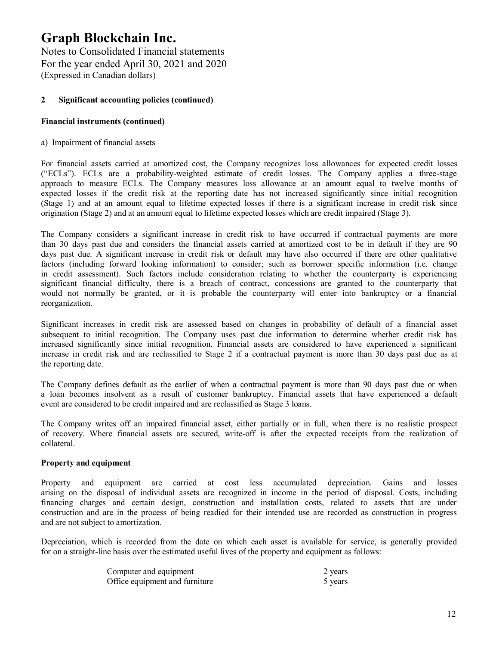Notes to Consolidated Financial statements For the year ended April 30, 2021 and 2020 (Expressed in Canadian dollars)

#### **2 Significant accounting policies (continued)**

#### **Financial instruments (continued)**

#### a) Impairment of financial assets

For financial assets carried at amortized cost, the Company recognizes loss allowances for expected credit losses ("ECLs"). ECLs are a probability-weighted estimate of credit losses. The Company applies a three-stage approach to measure ECLs. The Company measures loss allowance at an amount equal to twelve months of expected losses if the credit risk at the reporting date has not increased significantly since initial recognition (Stage 1) and at an amount equal to lifetime expected losses if there is a significant increase in credit risk since origination (Stage 2) and at an amount equal to lifetime expected losses which are credit impaired (Stage 3).

The Company considers a significant increase in credit risk to have occurred if contractual payments are more than 30 days past due and considers the financial assets carried at amortized cost to be in default if they are 90 days past due. A significant increase in credit risk or default may have also occurred if there are other qualitative factors (including forward looking information) to consider; such as borrower specific information (i.e. change in credit assessment). Such factors include consideration relating to whether the counterparty is experiencing significant financial difficulty, there is a breach of contract, concessions are granted to the counterparty that would not normally be granted, or it is probable the counterparty will enter into bankruptcy or a financial reorganization.

Significant increases in credit risk are assessed based on changes in probability of default of a financial asset subsequent to initial recognition. The Company uses past due information to determine whether credit risk has increased significantly since initial recognition. Financial assets are considered to have experienced a significant increase in credit risk and are reclassified to Stage 2 if a contractual payment is more than 30 days past due as at the reporting date.

The Company defines default as the earlier of when a contractual payment is more than 90 days past due or when a loan becomes insolvent as a result of customer bankruptcy. Financial assets that have experienced a default event are considered to be credit impaired and are reclassified as Stage 3 loans.

The Company writes off an impaired financial asset, either partially or in full, when there is no realistic prospect of recovery. Where financial assets are secured, write-off is after the expected receipts from the realization of collateral.

#### **Property and equipment**

Property and equipment are carried at cost less accumulated depreciation. Gains and losses arising on the disposal of individual assets are recognized in income in the period of disposal. Costs, including financing charges and certain design, construction and installation costs, related to assets that are under construction and are in the process of being readied for their intended use are recorded as construction in progress and are not subject to amortization.

Depreciation, which is recorded from the date on which each asset is available for service, is generally provided for on a straight-line basis over the estimated useful lives of the property and equipment as follows:

| Computer and equipment         | 2 years |
|--------------------------------|---------|
| Office equipment and furniture | 5 years |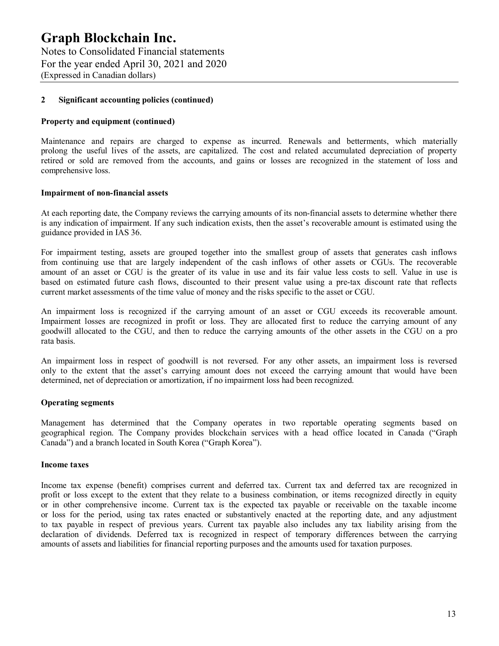Notes to Consolidated Financial statements For the year ended April 30, 2021 and 2020 (Expressed in Canadian dollars)

#### **2 Significant accounting policies (continued)**

#### **Property and equipment (continued)**

Maintenance and repairs are charged to expense as incurred. Renewals and betterments, which materially prolong the useful lives of the assets, are capitalized. The cost and related accumulated depreciation of property retired or sold are removed from the accounts, and gains or losses are recognized in the statement of loss and comprehensive loss.

#### **Impairment of non-financial assets**

At each reporting date, the Company reviews the carrying amounts of its non-financial assets to determine whether there is any indication of impairment. If any such indication exists, then the asset's recoverable amount is estimated using the guidance provided in IAS 36.

For impairment testing, assets are grouped together into the smallest group of assets that generates cash inflows from continuing use that are largely independent of the cash inflows of other assets or CGUs. The recoverable amount of an asset or CGU is the greater of its value in use and its fair value less costs to sell. Value in use is based on estimated future cash flows, discounted to their present value using a pre-tax discount rate that reflects current market assessments of the time value of money and the risks specific to the asset or CGU.

An impairment loss is recognized if the carrying amount of an asset or CGU exceeds its recoverable amount. Impairment losses are recognized in profit or loss. They are allocated first to reduce the carrying amount of any goodwill allocated to the CGU, and then to reduce the carrying amounts of the other assets in the CGU on a pro rata basis.

An impairment loss in respect of goodwill is not reversed. For any other assets, an impairment loss is reversed only to the extent that the asset's carrying amount does not exceed the carrying amount that would have been determined, net of depreciation or amortization, if no impairment loss had been recognized.

#### **Operating segments**

Management has determined that the Company operates in two reportable operating segments based on geographical region. The Company provides blockchain services with a head office located in Canada ("Graph Canada") and a branch located in South Korea ("Graph Korea").

#### **Income taxes**

Income tax expense (benefit) comprises current and deferred tax. Current tax and deferred tax are recognized in profit or loss except to the extent that they relate to a business combination, or items recognized directly in equity or in other comprehensive income. Current tax is the expected tax payable or receivable on the taxable income or loss for the period, using tax rates enacted or substantively enacted at the reporting date, and any adjustment to tax payable in respect of previous years. Current tax payable also includes any tax liability arising from the declaration of dividends. Deferred tax is recognized in respect of temporary differences between the carrying amounts of assets and liabilities for financial reporting purposes and the amounts used for taxation purposes.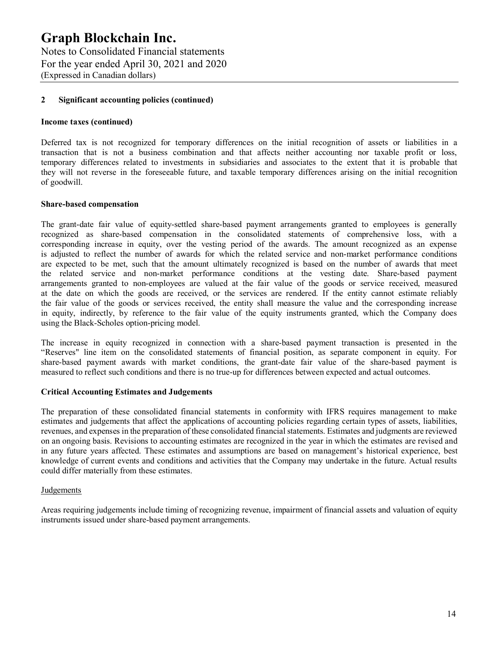Notes to Consolidated Financial statements For the year ended April 30, 2021 and 2020 (Expressed in Canadian dollars)

#### **2 Significant accounting policies (continued)**

#### **Income taxes (continued)**

Deferred tax is not recognized for temporary differences on the initial recognition of assets or liabilities in a transaction that is not a business combination and that affects neither accounting nor taxable profit or loss, temporary differences related to investments in subsidiaries and associates to the extent that it is probable that they will not reverse in the foreseeable future, and taxable temporary differences arising on the initial recognition of goodwill.

#### **Share-based compensation**

The grant-date fair value of equity-settled share-based payment arrangements granted to employees is generally recognized as share-based compensation in the consolidated statements of comprehensive loss, with a corresponding increase in equity, over the vesting period of the awards. The amount recognized as an expense is adjusted to reflect the number of awards for which the related service and non-market performance conditions are expected to be met, such that the amount ultimately recognized is based on the number of awards that meet the related service and non-market performance conditions at the vesting date. Share-based payment arrangements granted to non-employees are valued at the fair value of the goods or service received, measured at the date on which the goods are received, or the services are rendered. If the entity cannot estimate reliably the fair value of the goods or services received, the entity shall measure the value and the corresponding increase in equity, indirectly, by reference to the fair value of the equity instruments granted, which the Company does using the Black-Scholes option-pricing model.

The increase in equity recognized in connection with a share-based payment transaction is presented in the "Reserves" line item on the consolidated statements of financial position, as separate component in equity. For share-based payment awards with market conditions, the grant-date fair value of the share-based payment is measured to reflect such conditions and there is no true-up for differences between expected and actual outcomes.

#### **Critical Accounting Estimates and Judgements**

The preparation of these consolidated financial statements in conformity with IFRS requires management to make estimates and judgements that affect the applications of accounting policies regarding certain types of assets, liabilities, revenues, and expenses in the preparation of these consolidated financial statements. Estimates and judgments are reviewed on an ongoing basis. Revisions to accounting estimates are recognized in the year in which the estimates are revised and in any future years affected. These estimates and assumptions are based on management's historical experience, best knowledge of current events and conditions and activities that the Company may undertake in the future. Actual results could differ materially from these estimates.

#### Judgements

Areas requiring judgements include timing of recognizing revenue, impairment of financial assets and valuation of equity instruments issued under share-based payment arrangements.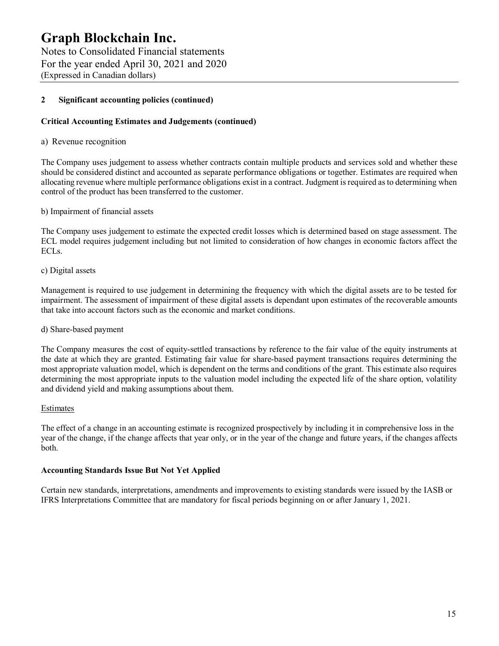Notes to Consolidated Financial statements For the year ended April 30, 2021 and 2020 (Expressed in Canadian dollars)

#### **2 Significant accounting policies (continued)**

#### **Critical Accounting Estimates and Judgements (continued)**

#### a) Revenue recognition

The Company uses judgement to assess whether contracts contain multiple products and services sold and whether these should be considered distinct and accounted as separate performance obligations or together. Estimates are required when allocating revenue where multiple performance obligations exist in a contract. Judgment is required as to determining when control of the product has been transferred to the customer.

#### b) Impairment of financial assets

The Company uses judgement to estimate the expected credit losses which is determined based on stage assessment. The ECL model requires judgement including but not limited to consideration of how changes in economic factors affect the ECLs.

#### c) Digital assets

Management is required to use judgement in determining the frequency with which the digital assets are to be tested for impairment. The assessment of impairment of these digital assets is dependant upon estimates of the recoverable amounts that take into account factors such as the economic and market conditions.

#### d) Share-based payment

The Company measures the cost of equity-settled transactions by reference to the fair value of the equity instruments at the date at which they are granted. Estimating fair value for share-based payment transactions requires determining the most appropriate valuation model, which is dependent on the terms and conditions of the grant. This estimate also requires determining the most appropriate inputs to the valuation model including the expected life of the share option, volatility and dividend yield and making assumptions about them.

#### **Estimates**

The effect of a change in an accounting estimate is recognized prospectively by including it in comprehensive loss in the year of the change, if the change affects that year only, or in the year of the change and future years, if the changes affects both.

#### **Accounting Standards Issue But Not Yet Applied**

Certain new standards, interpretations, amendments and improvements to existing standards were issued by the IASB or IFRS Interpretations Committee that are mandatory for fiscal periods beginning on or after January 1, 2021.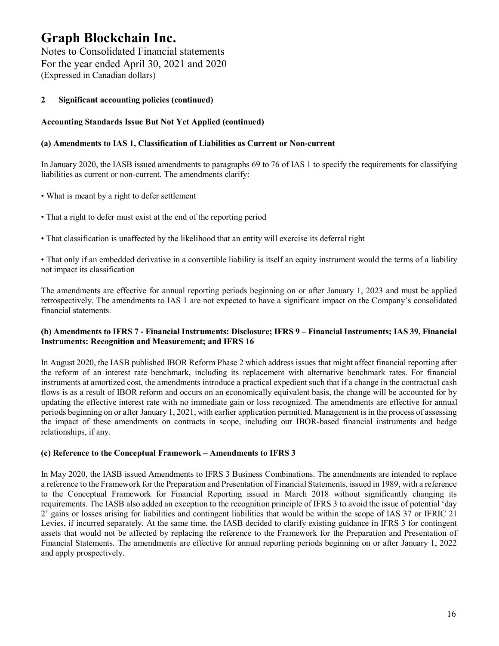Notes to Consolidated Financial statements For the year ended April 30, 2021 and 2020 (Expressed in Canadian dollars)

#### **2 Significant accounting policies (continued)**

#### **Accounting Standards Issue But Not Yet Applied (continued)**

#### **(a) Amendments to IAS 1, Classification of Liabilities as Current or Non-current**

In January 2020, the IASB issued amendments to paragraphs 69 to 76 of IAS 1 to specify the requirements for classifying liabilities as current or non-current. The amendments clarify:

- What is meant by a right to defer settlement
- That a right to defer must exist at the end of the reporting period
- That classification is unaffected by the likelihood that an entity will exercise its deferral right

• That only if an embedded derivative in a convertible liability is itself an equity instrument would the terms of a liability not impact its classification

The amendments are effective for annual reporting periods beginning on or after January 1, 2023 and must be applied retrospectively. The amendments to IAS 1 are not expected to have a significant impact on the Company's consolidated financial statements.

#### **(b) Amendments to IFRS 7 - Financial Instruments: Disclosure; IFRS 9 – Financial Instruments; IAS 39, Financial Instruments: Recognition and Measurement; and IFRS 16**

In August 2020, the IASB published IBOR Reform Phase 2 which address issues that might affect financial reporting after the reform of an interest rate benchmark, including its replacement with alternative benchmark rates. For financial instruments at amortized cost, the amendments introduce a practical expedient such that if a change in the contractual cash flows is as a result of IBOR reform and occurs on an economically equivalent basis, the change will be accounted for by updating the effective interest rate with no immediate gain or loss recognized. The amendments are effective for annual periods beginning on or after January 1, 2021, with earlier application permitted. Management is in the process of assessing the impact of these amendments on contracts in scope, including our IBOR-based financial instruments and hedge relationships, if any.

#### **(c) Reference to the Conceptual Framework – Amendments to IFRS 3**

In May 2020, the IASB issued Amendments to IFRS 3 Business Combinations. The amendments are intended to replace a reference to the Framework for the Preparation and Presentation of Financial Statements, issued in 1989, with a reference to the Conceptual Framework for Financial Reporting issued in March 2018 without significantly changing its requirements. The IASB also added an exception to the recognition principle of IFRS 3 to avoid the issue of potential 'day 2' gains or losses arising for liabilities and contingent liabilities that would be within the scope of IAS 37 or IFRIC 21 Levies, if incurred separately. At the same time, the IASB decided to clarify existing guidance in IFRS 3 for contingent assets that would not be affected by replacing the reference to the Framework for the Preparation and Presentation of Financial Statements. The amendments are effective for annual reporting periods beginning on or after January 1, 2022 and apply prospectively.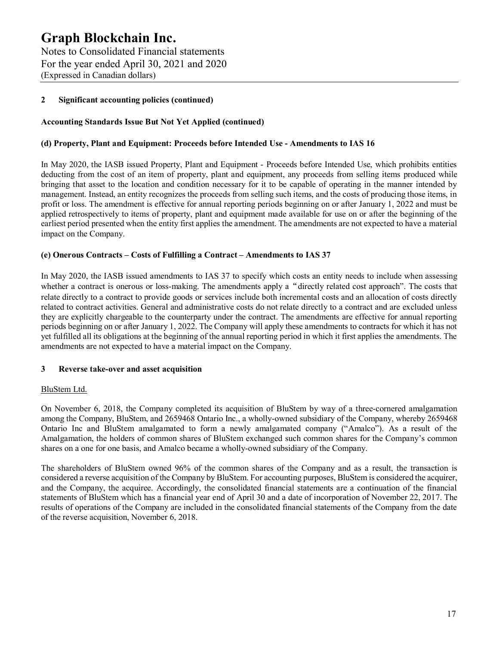Notes to Consolidated Financial statements For the year ended April 30, 2021 and 2020 (Expressed in Canadian dollars)

#### **2 Significant accounting policies (continued)**

#### **Accounting Standards Issue But Not Yet Applied (continued)**

#### **(d) Property, Plant and Equipment: Proceeds before Intended Use - Amendments to IAS 16**

In May 2020, the IASB issued Property, Plant and Equipment - Proceeds before Intended Use, which prohibits entities deducting from the cost of an item of property, plant and equipment, any proceeds from selling items produced while bringing that asset to the location and condition necessary for it to be capable of operating in the manner intended by management. Instead, an entity recognizes the proceeds from selling such items, and the costs of producing those items, in profit or loss. The amendment is effective for annual reporting periods beginning on or after January 1, 2022 and must be applied retrospectively to items of property, plant and equipment made available for use on or after the beginning of the earliest period presented when the entity first applies the amendment. The amendments are not expected to have a material impact on the Company.

#### **(e) Onerous Contracts – Costs of Fulfilling a Contract – Amendments to IAS 37**

In May 2020, the IASB issued amendments to IAS 37 to specify which costs an entity needs to include when assessing whether a contract is onerous or loss-making. The amendments apply a "directly related cost approach". The costs that relate directly to a contract to provide goods or services include both incremental costs and an allocation of costs directly related to contract activities. General and administrative costs do not relate directly to a contract and are excluded unless they are explicitly chargeable to the counterparty under the contract. The amendments are effective for annual reporting periods beginning on or after January 1, 2022. The Company will apply these amendments to contracts for which it has not yet fulfilled all its obligations at the beginning of the annual reporting period in which it first applies the amendments. The amendments are not expected to have a material impact on the Company.

#### **3 Reverse take-over and asset acquisition**

#### BluStem Ltd.

On November 6, 2018, the Company completed its acquisition of BluStem by way of a three-cornered amalgamation among the Company, BluStem, and 2659468 Ontario Inc., a wholly-owned subsidiary of the Company, whereby 2659468 Ontario Inc and BluStem amalgamated to form a newly amalgamated company ("Amalco"). As a result of the Amalgamation, the holders of common shares of BluStem exchanged such common shares for the Company's common shares on a one for one basis, and Amalco became a wholly-owned subsidiary of the Company.

The shareholders of BluStem owned 96% of the common shares of the Company and as a result, the transaction is considered a reverse acquisition of the Company by BluStem. For accounting purposes, BluStem is considered the acquirer, and the Company, the acquiree. Accordingly, the consolidated financial statements are a continuation of the financial statements of BluStem which has a financial year end of April 30 and a date of incorporation of November 22, 2017. The results of operations of the Company are included in the consolidated financial statements of the Company from the date of the reverse acquisition, November 6, 2018.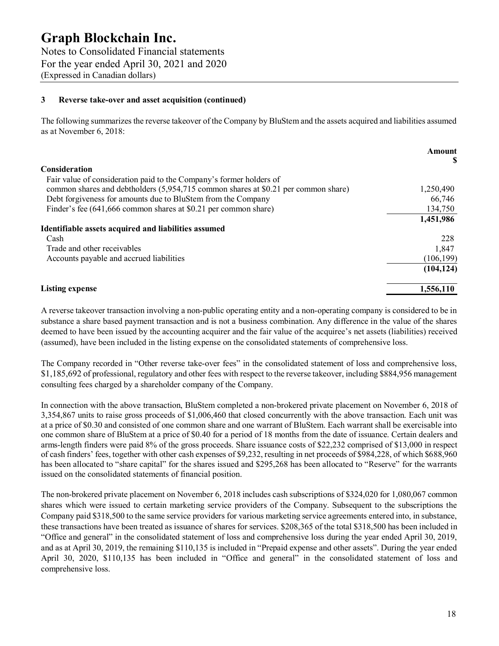Notes to Consolidated Financial statements For the year ended April 30, 2021 and 2020 (Expressed in Canadian dollars)

#### **3 Reverse take-over and asset acquisition (continued)**

The following summarizes the reverse takeover of the Company by BluStem and the assets acquired and liabilities assumed as at November 6, 2018:

|                                                                                    | Amount     |
|------------------------------------------------------------------------------------|------------|
| <b>Consideration</b>                                                               |            |
| Fair value of consideration paid to the Company's former holders of                |            |
| common shares and debtholders (5,954,715 common shares at \$0.21 per common share) | 1,250,490  |
| Debt for giveness for amounts due to BluStem from the Company                      | 66,746     |
| Finder's fee (641,666 common shares at \$0.21 per common share)                    | 134,750    |
|                                                                                    | 1,451,986  |
| Identifiable assets acquired and liabilities assumed                               |            |
| Cash                                                                               | 228        |
| Trade and other receivables                                                        | 1,847      |
| Accounts payable and accrued liabilities                                           | (106, 199) |
|                                                                                    | (104, 124) |
| <b>Listing expense</b>                                                             | 1,556,110  |

A reverse takeover transaction involving a non-public operating entity and a non-operating company is considered to be in substance a share based payment transaction and is not a business combination. Any difference in the value of the shares deemed to have been issued by the accounting acquirer and the fair value of the acquiree's net assets (liabilities) received (assumed), have been included in the listing expense on the consolidated statements of comprehensive loss.

The Company recorded in "Other reverse take-over fees" in the consolidated statement of loss and comprehensive loss, \$1,185,692 of professional, regulatory and other fees with respect to the reverse takeover, including \$884,956 management consulting fees charged by a shareholder company of the Company.

In connection with the above transaction, BluStem completed a non-brokered private placement on November 6, 2018 of 3,354,867 units to raise gross proceeds of \$1,006,460 that closed concurrently with the above transaction. Each unit was at a price of \$0.30 and consisted of one common share and one warrant of BluStem. Each warrant shall be exercisable into one common share of BluStem at a price of \$0.40 for a period of 18 months from the date of issuance. Certain dealers and arms-length finders were paid 8% of the gross proceeds. Share issuance costs of \$22,232 comprised of \$13,000 in respect of cash finders' fees, together with other cash expenses of \$9,232, resulting in net proceeds of \$984,228, of which \$688,960 has been allocated to "share capital" for the shares issued and \$295,268 has been allocated to "Reserve" for the warrants issued on the consolidated statements of financial position.

The non-brokered private placement on November 6, 2018 includes cash subscriptions of \$324,020 for 1,080,067 common shares which were issued to certain marketing service providers of the Company. Subsequent to the subscriptions the Company paid \$318,500 to the same service providers for various marketing service agreements entered into, in substance, these transactions have been treated as issuance of shares for services. \$208,365 of the total \$318,500 has been included in "Office and general" in the consolidated statement of loss and comprehensive loss during the year ended April 30, 2019, and as at April 30, 2019, the remaining \$110,135 is included in "Prepaid expense and other assets". During the year ended April 30, 2020, \$110,135 has been included in "Office and general" in the consolidated statement of loss and comprehensive loss.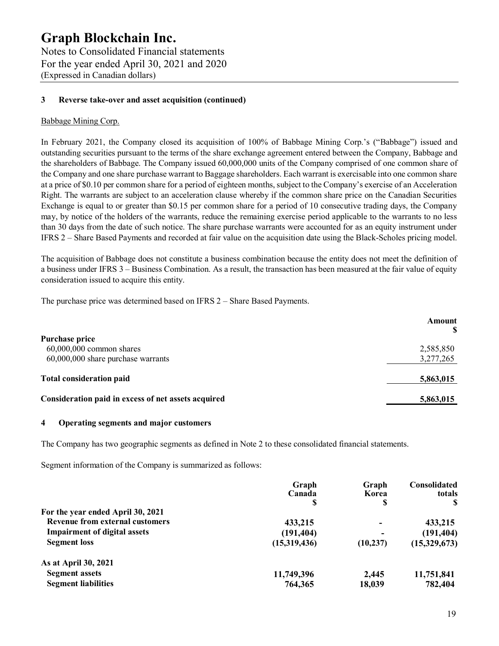Notes to Consolidated Financial statements For the year ended April 30, 2021 and 2020 (Expressed in Canadian dollars)

#### **3 Reverse take-over and asset acquisition (continued)**

#### Babbage Mining Corp.

In February 2021, the Company closed its acquisition of 100% of Babbage Mining Corp.'s ("Babbage") issued and outstanding securities pursuant to the terms of the share exchange agreement entered between the Company, Babbage and the shareholders of Babbage. The Company issued 60,000,000 units of the Company comprised of one common share of the Company and one share purchase warrant to Baggage shareholders. Each warrant is exercisable into one common share at a price of \$0.10 per common share for a period of eighteen months, subject to the Company's exercise of an Acceleration Right. The warrants are subject to an acceleration clause whereby if the common share price on the Canadian Securities Exchange is equal to or greater than \$0.15 per common share for a period of 10 consecutive trading days, the Company may, by notice of the holders of the warrants, reduce the remaining exercise period applicable to the warrants to no less than 30 days from the date of such notice. The share purchase warrants were accounted for as an equity instrument under IFRS 2 – Share Based Payments and recorded at fair value on the acquisition date using the Black-Scholes pricing model.

The acquisition of Babbage does not constitute a business combination because the entity does not meet the definition of a business under IFRS 3 – Business Combination. As a result, the transaction has been measured at the fair value of equity consideration issued to acquire this entity.

The purchase price was determined based on IFRS 2 – Share Based Payments.

|                                                     | Amount    |
|-----------------------------------------------------|-----------|
| Purchase price                                      |           |
| $60,000,000$ common shares                          | 2,585,850 |
| 60,000,000 share purchase warrants                  | 3,277,265 |
| <b>Total consideration paid</b>                     | 5,863,015 |
| Consideration paid in excess of net assets acquired | 5,863,015 |

#### **4 Operating segments and major customers**

The Company has two geographic segments as defined in Note 2 to these consolidated financial statements.

Segment information of the Company is summarized as follows:

|                                        | Graph<br>Canada<br>S | Graph<br>Korea<br>\$ | Consolidated<br>totals<br>S |
|----------------------------------------|----------------------|----------------------|-----------------------------|
| For the year ended April 30, 2021      |                      |                      |                             |
| <b>Revenue from external customers</b> | 433,215              |                      | 433,215                     |
| <b>Impairment of digital assets</b>    | (191, 404)           | -                    | (191, 404)                  |
| <b>Segment</b> loss                    | (15,319,436)         | (10, 237)            | (15,329,673)                |
| As at April 30, 2021                   |                      |                      |                             |
| <b>Segment assets</b>                  | 11,749,396           | 2,445                | 11,751,841                  |
| <b>Segment liabilities</b>             | 764,365              | 18,039               | 782,404                     |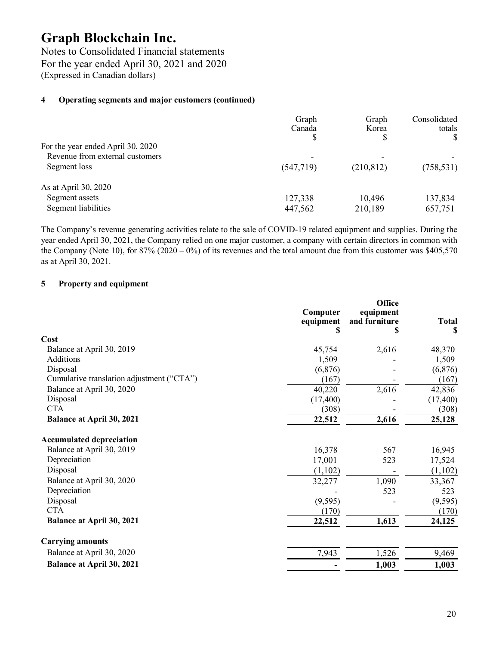Notes to Consolidated Financial statements For the year ended April 30, 2021 and 2020 (Expressed in Canadian dollars)

#### **4 Operating segments and major customers (continued)**

|                                   | Graph<br>Canada | Graph<br>Korea | Consolidated<br>totals<br>\$ |
|-----------------------------------|-----------------|----------------|------------------------------|
| For the year ended April 30, 2020 |                 |                |                              |
| Revenue from external customers   |                 |                |                              |
| Segment loss                      | (547,719)       | (210, 812)     | (758, 531)                   |
| As at April 30, 2020              |                 |                |                              |
| Segment assets                    | 127,338         | 10,496         | 137,834                      |
| Segment liabilities               | 447,562         | 210,189        | 657,751                      |

The Company's revenue generating activities relate to the sale of COVID-19 related equipment and supplies. During the year ended April 30, 2021, the Company relied on one major customer, a company with certain directors in common with the Company (Note 10), for  $87\%$  (2020 – 0%) of its revenues and the total amount due from this customer was \$405,570 as at April 30, 2021.

#### **5 Property and equipment**

|                                           | Computer<br>equipment | Office<br>equipment<br>and furniture<br>S | <b>Total</b><br>\$ |
|-------------------------------------------|-----------------------|-------------------------------------------|--------------------|
| Cost                                      |                       |                                           |                    |
| Balance at April 30, 2019                 | 45,754                | 2,616                                     | 48,370             |
| Additions                                 | 1,509                 |                                           | 1,509              |
| Disposal                                  | (6,876)               |                                           | (6,876)            |
| Cumulative translation adjustment ("CTA") | (167)                 |                                           | (167)              |
| Balance at April 30, 2020                 | 40,220                | 2,616                                     | 42,836             |
| Disposal                                  | (17, 400)             |                                           | (17,400)           |
| <b>CTA</b>                                | (308)                 |                                           | (308)              |
| <b>Balance at April 30, 2021</b>          | 22,512                | 2,616                                     | 25,128             |
| <b>Accumulated depreciation</b>           |                       |                                           |                    |
| Balance at April 30, 2019                 | 16,378                | 567                                       | 16,945             |
| Depreciation                              | 17,001                | 523                                       | 17,524             |
| Disposal                                  | (1,102)               |                                           | (1,102)            |
| Balance at April 30, 2020                 | 32,277                | 1,090                                     | 33,367             |
| Depreciation                              |                       | 523                                       | 523                |
| Disposal                                  | (9, 595)              |                                           | (9, 595)           |
| <b>CTA</b>                                | (170)                 |                                           | (170)              |
| <b>Balance at April 30, 2021</b>          | 22,512                | 1,613                                     | 24,125             |
| <b>Carrying amounts</b>                   |                       |                                           |                    |
| Balance at April 30, 2020                 | 7,943                 | 1,526                                     | 9,469              |
| <b>Balance at April 30, 2021</b>          |                       | 1,003                                     | 1,003              |
|                                           |                       |                                           |                    |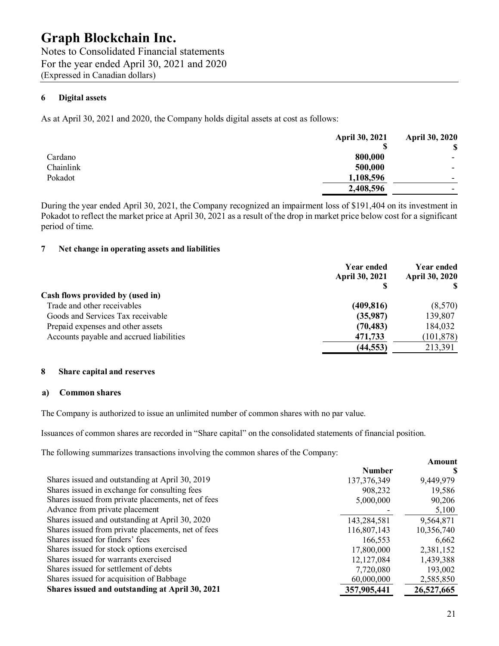Notes to Consolidated Financial statements For the year ended April 30, 2021 and 2020 (Expressed in Canadian dollars)

#### **6 Digital assets**

As at April 30, 2021 and 2020, the Company holds digital assets at cost as follows:

|           | April 30, 2021 | <b>April 30, 2020</b>    |
|-----------|----------------|--------------------------|
|           |                | \$                       |
| Cardano   | 800,000        | $\overline{\phantom{0}}$ |
| Chainlink | 500,000        | -                        |
| Pokadot   | 1,108,596      | $\overline{\phantom{0}}$ |
|           | 2,408,596      | -                        |

During the year ended April 30, 2021, the Company recognized an impairment loss of \$191,404 on its investment in Pokadot to reflect the market price at April 30, 2021 as a result of the drop in market price below cost for a significant period of time.

#### **7 Net change in operating assets and liabilities**

|                                          | Year ended<br><b>April 30, 2021</b> | <b>Year ended</b><br>April 30, 2020 |
|------------------------------------------|-------------------------------------|-------------------------------------|
| Cash flows provided by (used in)         |                                     |                                     |
| Trade and other receivables              | (409, 816)                          | (8,570)                             |
| Goods and Services Tax receivable        | (35,987)                            | 139,807                             |
| Prepaid expenses and other assets        | (70, 483)                           | 184,032                             |
| Accounts payable and accrued liabilities | 471,733                             | (101, 878)                          |
|                                          | (44, 553)                           | 213,391                             |
|                                          |                                     |                                     |

#### **8 Share capital and reserves**

#### **a) Common shares**

The Company is authorized to issue an unlimited number of common shares with no par value.

Issuances of common shares are recorded in "Share capital" on the consolidated statements of financial position.

The following summarizes transactions involving the common shares of the Company:

|                                                    |               | Ашочис     |
|----------------------------------------------------|---------------|------------|
|                                                    | <b>Number</b> |            |
| Shares issued and outstanding at April 30, 2019    | 137,376,349   | 9,449,979  |
| Shares issued in exchange for consulting fees      | 908,232       | 19,586     |
| Shares issued from private placements, net of fees | 5,000,000     | 90,206     |
| Advance from private placement                     |               | 5,100      |
| Shares issued and outstanding at April 30, 2020    | 143,284,581   | 9,564,871  |
| Shares issued from private placements, net of fees | 116,807,143   | 10,356,740 |
| Shares issued for finders' fees                    | 166,553       | 6,662      |
| Shares issued for stock options exercised          | 17,800,000    | 2,381,152  |
| Shares issued for warrants exercised               | 12,127,084    | 1,439,388  |
| Shares issued for settlement of debts              | 7,720,080     | 193,002    |
| Shares issued for acquisition of Babbage           | 60,000,000    | 2,585,850  |
| Shares issued and outstanding at April 30, 2021    | 357,905,441   | 26,527,665 |

**Amount**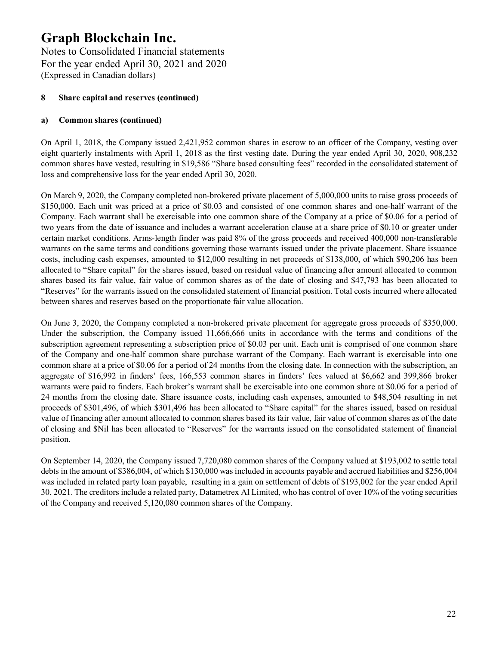Notes to Consolidated Financial statements For the year ended April 30, 2021 and 2020 (Expressed in Canadian dollars)

#### **8 Share capital and reserves (continued)**

#### **a) Common shares (continued)**

On April 1, 2018, the Company issued 2,421,952 common shares in escrow to an officer of the Company, vesting over eight quarterly instalments with April 1, 2018 as the first vesting date. During the year ended April 30, 2020, 908,232 common shares have vested, resulting in \$19,586 "Share based consulting fees" recorded in the consolidated statement of loss and comprehensive loss for the year ended April 30, 2020.

On March 9, 2020, the Company completed non-brokered private placement of 5,000,000 units to raise gross proceeds of \$150,000. Each unit was priced at a price of \$0.03 and consisted of one common shares and one-half warrant of the Company. Each warrant shall be exercisable into one common share of the Company at a price of \$0.06 for a period of two years from the date of issuance and includes a warrant acceleration clause at a share price of \$0.10 or greater under certain market conditions. Arms-length finder was paid 8% of the gross proceeds and received 400,000 non-transferable warrants on the same terms and conditions governing those warrants issued under the private placement. Share issuance costs, including cash expenses, amounted to \$12,000 resulting in net proceeds of \$138,000, of which \$90,206 has been allocated to "Share capital" for the shares issued, based on residual value of financing after amount allocated to common shares based its fair value, fair value of common shares as of the date of closing and \$47,793 has been allocated to "Reserves" for the warrants issued on the consolidated statement of financial position. Total costs incurred where allocated between shares and reserves based on the proportionate fair value allocation.

On June 3, 2020, the Company completed a non-brokered private placement for aggregate gross proceeds of \$350,000. Under the subscription, the Company issued 11,666,666 units in accordance with the terms and conditions of the subscription agreement representing a subscription price of \$0.03 per unit. Each unit is comprised of one common share of the Company and one-half common share purchase warrant of the Company. Each warrant is exercisable into one common share at a price of \$0.06 for a period of 24 months from the closing date. In connection with the subscription, an aggregate of \$16,992 in finders' fees, 166,553 common shares in finders' fees valued at \$6,662 and 399,866 broker warrants were paid to finders. Each broker's warrant shall be exercisable into one common share at \$0.06 for a period of 24 months from the closing date. Share issuance costs, including cash expenses, amounted to \$48,504 resulting in net proceeds of \$301,496, of which \$301,496 has been allocated to "Share capital" for the shares issued, based on residual value of financing after amount allocated to common shares based its fair value, fair value of common shares as of the date of closing and \$Nil has been allocated to "Reserves" for the warrants issued on the consolidated statement of financial position.

On September 14, 2020, the Company issued 7,720,080 common shares of the Company valued at \$193,002 to settle total debts in the amount of \$386,004, of which \$130,000 was included in accounts payable and accrued liabilities and \$256,004 was included in related party loan payable, resulting in a gain on settlement of debts of \$193,002 for the year ended April 30, 2021. The creditors include a related party, Datametrex AI Limited, who has control of over 10% of the voting securities of the Company and received 5,120,080 common shares of the Company.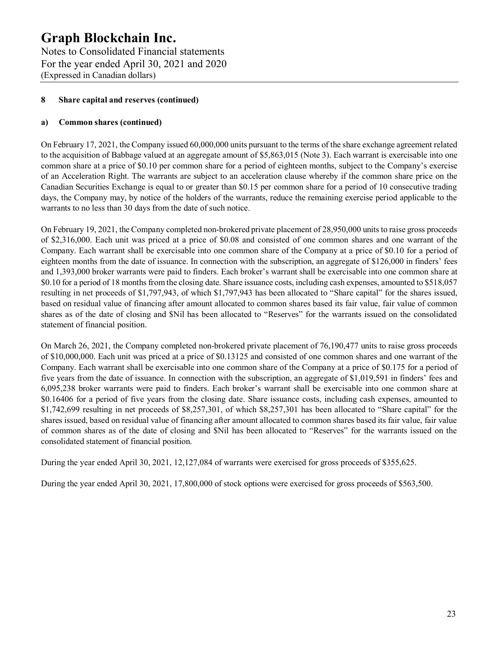Notes to Consolidated Financial statements For the year ended April 30, 2021 and 2020 (Expressed in Canadian dollars)

#### **8 Share capital and reserves (continued)**

#### **a) Common shares (continued)**

On February 17, 2021, the Company issued 60,000,000 units pursuant to the terms of the share exchange agreement related to the acquisition of Babbage valued at an aggregate amount of \$5,863,015 (Note 3). Each warrant is exercisable into one common share at a price of \$0.10 per common share for a period of eighteen months, subject to the Company's exercise of an Acceleration Right. The warrants are subject to an acceleration clause whereby if the common share price on the Canadian Securities Exchange is equal to or greater than \$0.15 per common share for a period of 10 consecutive trading days, the Company may, by notice of the holders of the warrants, reduce the remaining exercise period applicable to the warrants to no less than 30 days from the date of such notice.

On February 19, 2021, the Company completed non-brokered private placement of 28,950,000 units to raise gross proceeds of \$2,316,000. Each unit was priced at a price of \$0.08 and consisted of one common shares and one warrant of the Company. Each warrant shall be exercisable into one common share of the Company at a price of \$0.10 for a period of eighteen months from the date of issuance. In connection with the subscription, an aggregate of \$126,000 in finders' fees and 1,393,000 broker warrants were paid to finders. Each broker's warrant shall be exercisable into one common share at \$0.10 for a period of 18 months from the closing date. Share issuance costs, including cash expenses, amounted to \$518,057 resulting in net proceeds of \$1,797,943, of which \$1,797,943 has been allocated to "Share capital" for the shares issued, based on residual value of financing after amount allocated to common shares based its fair value, fair value of common shares as of the date of closing and \$Nil has been allocated to "Reserves" for the warrants issued on the consolidated statement of financial position.

On March 26, 2021, the Company completed non-brokered private placement of 76,190,477 units to raise gross proceeds of \$10,000,000. Each unit was priced at a price of \$0.13125 and consisted of one common shares and one warrant of the Company. Each warrant shall be exercisable into one common share of the Company at a price of \$0.175 for a period of five years from the date of issuance. In connection with the subscription, an aggregate of \$1,019,591 in finders' fees and 6,095,238 broker warrants were paid to finders. Each broker's warrant shall be exercisable into one common share at \$0.16406 for a period of five years from the closing date. Share issuance costs, including cash expenses, amounted to \$1,742,699 resulting in net proceeds of \$8,257,301, of which \$8,257,301 has been allocated to "Share capital" for the shares issued, based on residual value of financing after amount allocated to common shares based its fair value, fair value of common shares as of the date of closing and \$Nil has been allocated to "Reserves" for the warrants issued on the consolidated statement of financial position.

During the year ended April 30, 2021, 12,127,084 of warrants were exercised for gross proceeds of \$355,625.

During the year ended April 30, 2021, 17,800,000 of stock options were exercised for gross proceeds of \$563,500.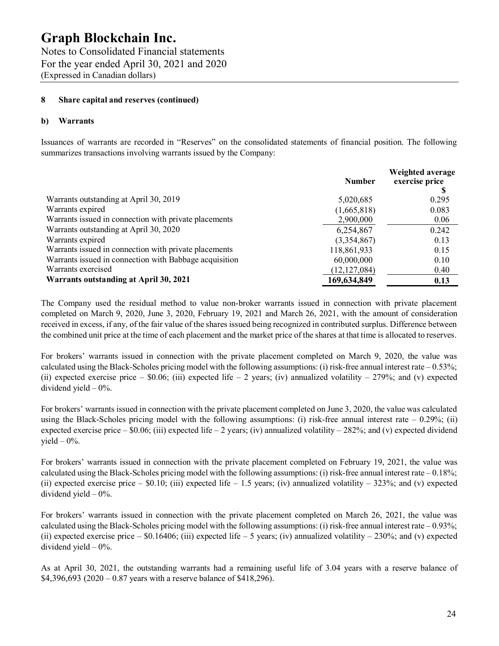Notes to Consolidated Financial statements For the year ended April 30, 2021 and 2020 (Expressed in Canadian dollars)

#### **8 Share capital and reserves (continued)**

#### **b) Warrants**

Issuances of warrants are recorded in "Reserves" on the consolidated statements of financial position. The following summarizes transactions involving warrants issued by the Company:

|                                                        | <b>Number</b>  | Weighted average<br>exercise price |
|--------------------------------------------------------|----------------|------------------------------------|
| Warrants outstanding at April 30, 2019                 | 5,020,685      | 0.295                              |
| Warrants expired                                       | (1,665,818)    | 0.083                              |
| Warrants issued in connection with private placements  | 2,900,000      | 0.06                               |
| Warrants outstanding at April 30, 2020                 | 6,254,867      | 0.242                              |
| Warrants expired                                       | (3,354,867)    | 0.13                               |
| Warrants issued in connection with private placements  | 118,861,933    | 0.15                               |
| Warrants issued in connection with Babbage acquisition | 60,000,000     | 0.10                               |
| Warrants exercised                                     | (12, 127, 084) | 0.40                               |
| Warrants outstanding at April 30, 2021                 | 169,634,849    | 0.13                               |

The Company used the residual method to value non-broker warrants issued in connection with private placement completed on March 9, 2020, June 3, 2020, February 19, 2021 and March 26, 2021, with the amount of consideration received in excess, if any, of the fair value of the shares issued being recognized in contributed surplus. Difference between the combined unit price at the time of each placement and the market price of the shares at that time is allocated to reserves.

For brokers' warrants issued in connection with the private placement completed on March 9, 2020, the value was calculated using the Black-Scholes pricing model with the following assumptions: (i) risk-free annual interest rate  $-0.53\%$ ; (ii) expected exercise price – \$0.06; (iii) expected life – 2 years; (iv) annualized volatility – 279%; and (v) expected dividend yield  $-0\%$ .

For brokers' warrants issued in connection with the private placement completed on June 3, 2020, the value was calculated using the Black-Scholes pricing model with the following assumptions: (i) risk-free annual interest rate – 0.29%; (ii) expected exercise price –  $$0.06$ ; (iii) expected life – 2 years; (iv) annualized volatility – 282%; and (v) expected dividend yield  $-0\%$ .

For brokers' warrants issued in connection with the private placement completed on February 19, 2021, the value was calculated using the Black-Scholes pricing model with the following assumptions: (i) risk-free annual interest rate  $-0.18\%$ ; (ii) expected exercise price – \$0.10; (iii) expected life – 1.5 years; (iv) annualized volatility –  $323\%$ ; and (v) expected dividend yield – 0%.

For brokers' warrants issued in connection with the private placement completed on March 26, 2021, the value was calculated using the Black-Scholes pricing model with the following assumptions: (i) risk-free annual interest rate – 0.93%; (ii) expected exercise price – \$0.16406; (iii) expected life – 5 years; (iv) annualized volatility – 230%; and (v) expected dividend yield – 0%.

As at April 30, 2021, the outstanding warrants had a remaining useful life of 3.04 years with a reserve balance of \$4,396,693 (2020 – 0.87 years with a reserve balance of \$418,296).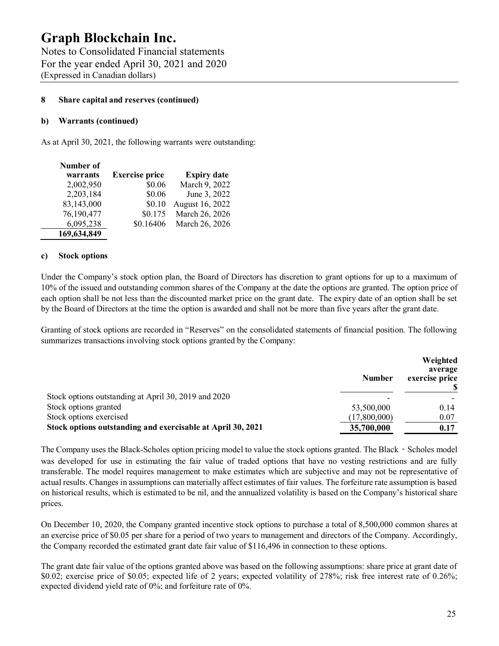Notes to Consolidated Financial statements For the year ended April 30, 2021 and 2020 (Expressed in Canadian dollars)

#### **8 Share capital and reserves (continued)**

#### **b) Warrants (continued)**

As at April 30, 2021, the following warrants were outstanding:

| Number of<br>warrants | <b>Exercise price</b> | <b>Expiry date</b> |
|-----------------------|-----------------------|--------------------|
| 2,002,950             | \$0.06                | March 9, 2022      |
| 2,203,184             | \$0.06                | June 3, 2022       |
| 83,143,000            | \$0.10                | August 16, 2022    |
| 76,190,477            | \$0.175               | March 26, 2026     |
| 6,095,238             | \$0.16406             | March 26, 2026     |
| 169,634,849           |                       |                    |

#### **c) Stock options**

Under the Company's stock option plan, the Board of Directors has discretion to grant options for up to a maximum of 10% of the issued and outstanding common shares of the Company at the date the options are granted. The option price of each option shall be not less than the discounted market price on the grant date. The expiry date of an option shall be set by the Board of Directors at the time the option is awarded and shall not be more than five years after the grant date.

Granting of stock options are recorded in "Reserves" on the consolidated statements of financial position. The following summarizes transactions involving stock options granted by the Company:

|                                                             | <b>Number</b> | Weighted<br>average<br>exercise price |
|-------------------------------------------------------------|---------------|---------------------------------------|
| Stock options outstanding at April 30, 2019 and 2020        |               |                                       |
| Stock options granted                                       | 53,500,000    | 0.14                                  |
| Stock options exercised                                     | (17,800,000)  | 0.07                                  |
| Stock options outstanding and exercisable at April 30, 2021 | 35,700,000    | 0.17                                  |

The Company uses the Black-Scholes option pricing model to value the stock options granted. The Black - Scholes model was developed for use in estimating the fair value of traded options that have no vesting restrictions and are fully transferable. The model requires management to make estimates which are subjective and may not be representative of actual results. Changes in assumptions can materially affect estimates of fair values. The forfeiture rate assumption is based on historical results, which is estimated to be nil, and the annualized volatility is based on the Company's historical share prices.

On December 10, 2020, the Company granted incentive stock options to purchase a total of 8,500,000 common shares at an exercise price of \$0.05 per share for a period of two years to management and directors of the Company. Accordingly, the Company recorded the estimated grant date fair value of \$116,496 in connection to these options.

The grant date fair value of the options granted above was based on the following assumptions: share price at grant date of \$0.02; exercise price of \$0.05; expected life of 2 years; expected volatility of 278%; risk free interest rate of 0.26%; expected dividend yield rate of 0%; and forfeiture rate of 0%.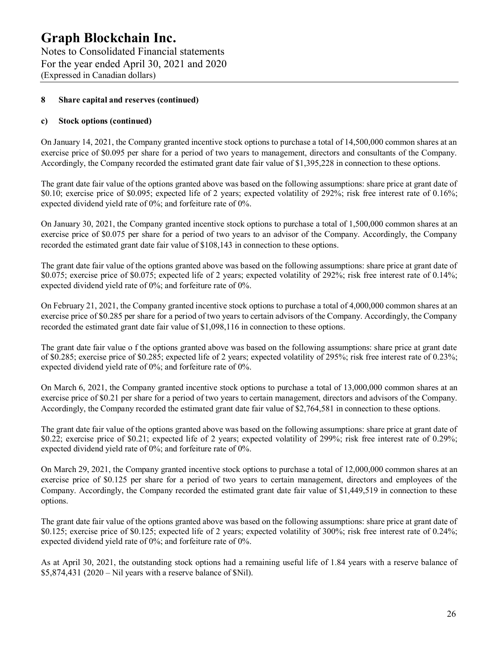Notes to Consolidated Financial statements For the year ended April 30, 2021 and 2020 (Expressed in Canadian dollars)

#### **8 Share capital and reserves (continued)**

#### **c) Stock options (continued)**

On January 14, 2021, the Company granted incentive stock options to purchase a total of 14,500,000 common shares at an exercise price of \$0.095 per share for a period of two years to management, directors and consultants of the Company. Accordingly, the Company recorded the estimated grant date fair value of \$1,395,228 in connection to these options.

The grant date fair value of the options granted above was based on the following assumptions: share price at grant date of \$0.10; exercise price of \$0.095; expected life of 2 years; expected volatility of 292%; risk free interest rate of 0.16%; expected dividend yield rate of 0%; and forfeiture rate of 0%.

On January 30, 2021, the Company granted incentive stock options to purchase a total of 1,500,000 common shares at an exercise price of \$0.075 per share for a period of two years to an advisor of the Company. Accordingly, the Company recorded the estimated grant date fair value of \$108,143 in connection to these options.

The grant date fair value of the options granted above was based on the following assumptions: share price at grant date of \$0.075; exercise price of \$0.075; expected life of 2 years; expected volatility of 292%; risk free interest rate of 0.14%; expected dividend yield rate of 0%; and forfeiture rate of 0%.

On February 21, 2021, the Company granted incentive stock options to purchase a total of 4,000,000 common shares at an exercise price of \$0.285 per share for a period of two years to certain advisors of the Company. Accordingly, the Company recorded the estimated grant date fair value of \$1,098,116 in connection to these options.

The grant date fair value o f the options granted above was based on the following assumptions: share price at grant date of \$0.285; exercise price of \$0.285; expected life of 2 years; expected volatility of 295%; risk free interest rate of 0.23%; expected dividend yield rate of 0%; and forfeiture rate of 0%.

On March 6, 2021, the Company granted incentive stock options to purchase a total of 13,000,000 common shares at an exercise price of \$0.21 per share for a period of two years to certain management, directors and advisors of the Company. Accordingly, the Company recorded the estimated grant date fair value of \$2,764,581 in connection to these options.

The grant date fair value of the options granted above was based on the following assumptions: share price at grant date of \$0.22; exercise price of \$0.21; expected life of 2 years; expected volatility of 299%; risk free interest rate of 0.29%; expected dividend yield rate of 0%; and forfeiture rate of 0%.

On March 29, 2021, the Company granted incentive stock options to purchase a total of 12,000,000 common shares at an exercise price of \$0.125 per share for a period of two years to certain management, directors and employees of the Company. Accordingly, the Company recorded the estimated grant date fair value of \$1,449,519 in connection to these options.

The grant date fair value of the options granted above was based on the following assumptions: share price at grant date of \$0.125; exercise price of \$0.125; expected life of 2 years; expected volatility of 300%; risk free interest rate of 0.24%; expected dividend yield rate of 0%; and forfeiture rate of 0%.

As at April 30, 2021, the outstanding stock options had a remaining useful life of 1.84 years with a reserve balance of  $$5,874,431$  (2020 – Nil years with a reserve balance of  $$Nil$ ).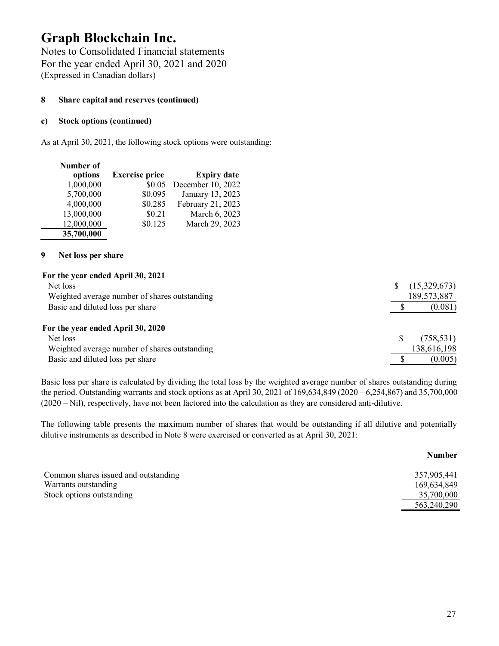Notes to Consolidated Financial statements For the year ended April 30, 2021 and 2020 (Expressed in Canadian dollars)

#### **8 Share capital and reserves (continued)**

#### **c) Stock options (continued)**

As at April 30, 2021, the following stock options were outstanding:

| Number of<br>options | <b>Exercise price</b> | <b>Expiry date</b> |
|----------------------|-----------------------|--------------------|
| 1,000,000            | \$0.05                | December 10, 2022  |
| 5,700,000            | \$0.095               | January 13, 2023   |
| 4,000,000            | \$0.285               | February 21, 2023  |
| 13,000,000           | \$0.21                | March 6, 2023      |
| 12,000,000           | \$0.125               | March 29, 2023     |
| 35,700,000           |                       |                    |

#### **9 Net loss per share**

#### **For the year ended April 30, 2021**

| Net loss                                      | (15,329,673)    |
|-----------------------------------------------|-----------------|
| Weighted average number of shares outstanding | 189,573,887     |
| Basic and diluted loss per share              | (0.081)         |
| For the year ended April 30, 2020             |                 |
| Net loss                                      | (758, 531)<br>S |
| Weighted average number of shares outstanding | 138,616,198     |
| Basic and diluted loss per share              | (0.005)         |

Basic loss per share is calculated by dividing the total loss by the weighted average number of shares outstanding during the period. Outstanding warrants and stock options as at April 30, 2021 of 169,634,849 (2020 – 6,254,867) and 35,700,000 (2020 – Nil), respectively, have not been factored into the calculation as they are considered anti-dilutive.

The following table presents the maximum number of shares that would be outstanding if all dilutive and potentially dilutive instruments as described in Note 8 were exercised or converted as at April 30, 2021:

|                                      | <b>Number</b> |
|--------------------------------------|---------------|
| Common shares issued and outstanding | 357,905,441   |
| Warrants outstanding                 | 169,634,849   |
| Stock options outstanding            | 35,700,000    |
|                                      | 563,240,290   |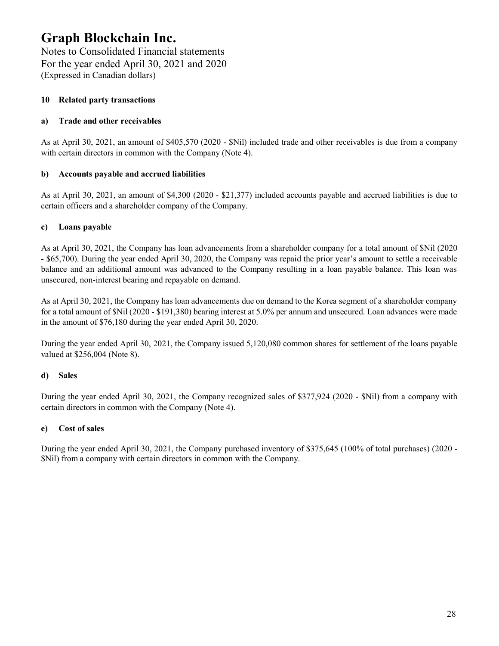Notes to Consolidated Financial statements For the year ended April 30, 2021 and 2020 (Expressed in Canadian dollars)

#### **10 Related party transactions**

#### **a) Trade and other receivables**

As at April 30, 2021, an amount of \$405,570 (2020 - \$Nil) included trade and other receivables is due from a company with certain directors in common with the Company (Note 4).

#### **b) Accounts payable and accrued liabilities**

As at April 30, 2021, an amount of \$4,300 (2020 - \$21,377) included accounts payable and accrued liabilities is due to certain officers and a shareholder company of the Company.

#### **c) Loans payable**

As at April 30, 2021, the Company has loan advancements from a shareholder company for a total amount of \$Nil (2020 - \$65,700). During the year ended April 30, 2020, the Company was repaid the prior year's amount to settle a receivable balance and an additional amount was advanced to the Company resulting in a loan payable balance. This loan was unsecured, non-interest bearing and repayable on demand.

As at April 30, 2021, the Company has loan advancements due on demand to the Korea segment of a shareholder company for a total amount of \$Nil (2020 - \$191,380) bearing interest at 5.0% per annum and unsecured. Loan advances were made in the amount of \$76,180 during the year ended April 30, 2020.

During the year ended April 30, 2021, the Company issued 5,120,080 common shares for settlement of the loans payable valued at \$256,004 (Note 8).

#### **d) Sales**

During the year ended April 30, 2021, the Company recognized sales of \$377,924 (2020 - \$Nil) from a company with certain directors in common with the Company (Note 4).

#### **e) Cost of sales**

During the year ended April 30, 2021, the Company purchased inventory of \$375,645 (100% of total purchases) (2020 - \$Nil) from a company with certain directors in common with the Company.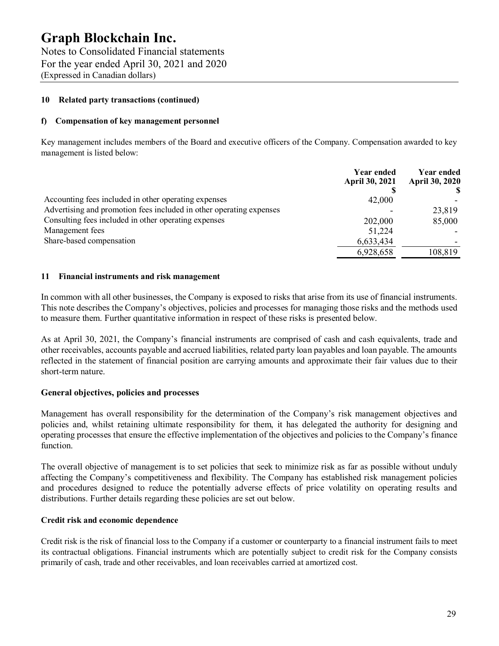Notes to Consolidated Financial statements For the year ended April 30, 2021 and 2020 (Expressed in Canadian dollars)

#### **10 Related party transactions (continued)**

#### **f) Compensation of key management personnel**

Key management includes members of the Board and executive officers of the Company. Compensation awarded to key management is listed below:

|                                                                     | <b>Year ended</b><br><b>April 30, 2021</b> | <b>Year ended</b><br><b>April 30, 2020</b> |
|---------------------------------------------------------------------|--------------------------------------------|--------------------------------------------|
| Accounting fees included in other operating expenses                | 42,000                                     |                                            |
| Advertising and promotion fees included in other operating expenses |                                            | 23,819                                     |
| Consulting fees included in other operating expenses                | 202,000                                    | 85,000                                     |
| Management fees                                                     | 51,224                                     |                                            |
| Share-based compensation                                            | 6,633,434                                  |                                            |
|                                                                     | 6,928,658                                  | 108,819                                    |

#### **11 Financial instruments and risk management**

In common with all other businesses, the Company is exposed to risks that arise from its use of financial instruments. This note describes the Company's objectives, policies and processes for managing those risks and the methods used to measure them. Further quantitative information in respect of these risks is presented below.

As at April 30, 2021, the Company's financial instruments are comprised of cash and cash equivalents, trade and other receivables, accounts payable and accrued liabilities, related party loan payables and loan payable. The amounts reflected in the statement of financial position are carrying amounts and approximate their fair values due to their short-term nature.

#### **General objectives, policies and processes**

Management has overall responsibility for the determination of the Company's risk management objectives and policies and, whilst retaining ultimate responsibility for them, it has delegated the authority for designing and operating processes that ensure the effective implementation of the objectives and policies to the Company's finance function.

The overall objective of management is to set policies that seek to minimize risk as far as possible without unduly affecting the Company's competitiveness and flexibility. The Company has established risk management policies and procedures designed to reduce the potentially adverse effects of price volatility on operating results and distributions. Further details regarding these policies are set out below.

#### **Credit risk and economic dependence**

Credit risk is the risk of financial loss to the Company if a customer or counterparty to a financial instrument fails to meet its contractual obligations. Financial instruments which are potentially subject to credit risk for the Company consists primarily of cash, trade and other receivables, and loan receivables carried at amortized cost.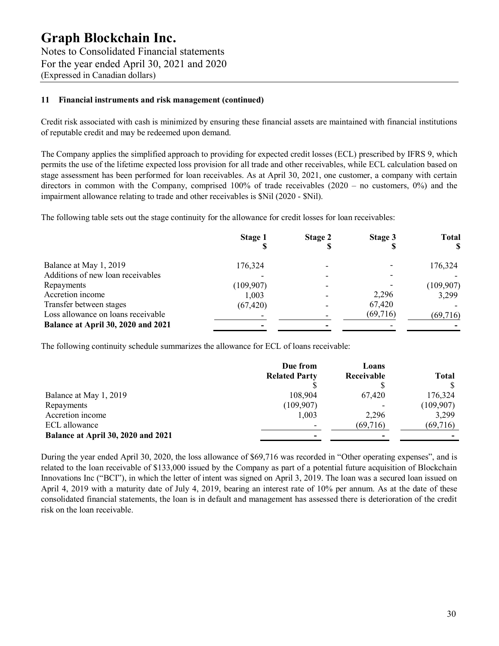Notes to Consolidated Financial statements For the year ended April 30, 2021 and 2020 (Expressed in Canadian dollars)

#### **11 Financial instruments and risk management (continued)**

Credit risk associated with cash is minimized by ensuring these financial assets are maintained with financial institutions of reputable credit and may be redeemed upon demand.

The Company applies the simplified approach to providing for expected credit losses (ECL) prescribed by IFRS 9, which permits the use of the lifetime expected loss provision for all trade and other receivables, while ECL calculation based on stage assessment has been performed for loan receivables. As at April 30, 2021, one customer, a company with certain directors in common with the Company, comprised 100% of trade receivables (2020 – no customers, 0%) and the impairment allowance relating to trade and other receivables is \$Nil (2020 - \$Nil).

The following table sets out the stage continuity for the allowance for credit losses for loan receivables:

|                                    | Stage 1    | Stage 2 | Stage 3  | <b>Total</b><br>S |
|------------------------------------|------------|---------|----------|-------------------|
| Balance at May 1, 2019             | 176,324    |         |          | 176,324           |
| Additions of new loan receivables  |            |         |          |                   |
| Repayments                         | (109, 907) |         |          | (109, 907)        |
| Accretion income                   | 1,003      |         | 2,296    | 3,299             |
| Transfer between stages            | (67, 420)  |         | 67,420   |                   |
| Loss allowance on loans receivable |            |         | (69,716) | (69, 716)         |
| Balance at April 30, 2020 and 2021 |            |         |          |                   |

The following continuity schedule summarizes the allowance for ECL of loans receivable:

|                                    | Due from             | Loans      |            |
|------------------------------------|----------------------|------------|------------|
|                                    | <b>Related Party</b> | Receivable | Total      |
|                                    |                      |            |            |
| Balance at May 1, 2019             | 108,904              | 67.420     | 176,324    |
| Repayments                         | (109, 907)           |            | (109, 907) |
| Accretion income                   | 1.003                | 2,296      | 3,299      |
| ECL allowance                      |                      | (69, 716)  | (69,716)   |
| Balance at April 30, 2020 and 2021 |                      |            |            |

During the year ended April 30, 2020, the loss allowance of \$69,716 was recorded in "Other operating expenses", and is related to the loan receivable of \$133,000 issued by the Company as part of a potential future acquisition of Blockchain Innovations Inc ("BCI"), in which the letter of intent was signed on April 3, 2019. The loan was a secured loan issued on April 4, 2019 with a maturity date of July 4, 2019, bearing an interest rate of 10% per annum. As at the date of these consolidated financial statements, the loan is in default and management has assessed there is deterioration of the credit risk on the loan receivable.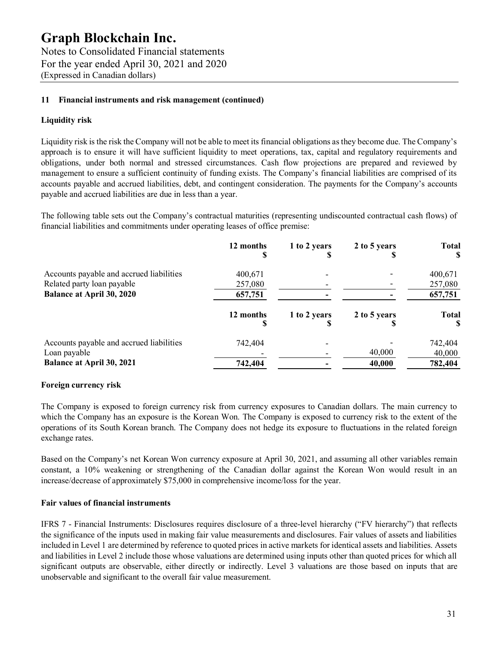Notes to Consolidated Financial statements For the year ended April 30, 2021 and 2020 (Expressed in Canadian dollars)

#### **11 Financial instruments and risk management (continued)**

#### **Liquidity risk**

Liquidity risk is the risk the Company will not be able to meet its financial obligations as they become due. The Company's approach is to ensure it will have sufficient liquidity to meet operations, tax, capital and regulatory requirements and obligations, under both normal and stressed circumstances. Cash flow projections are prepared and reviewed by management to ensure a sufficient continuity of funding exists. The Company's financial liabilities are comprised of its accounts payable and accrued liabilities, debt, and contingent consideration. The payments for the Company's accounts payable and accrued liabilities are due in less than a year.

The following table sets out the Company's contractual maturities (representing undiscounted contractual cash flows) of financial liabilities and commitments under operating leases of office premise:

|                                          | 12 months | 1 to 2 years | 2 to 5 years | <b>Total</b> |
|------------------------------------------|-----------|--------------|--------------|--------------|
| Accounts payable and accrued liabilities | 400,671   |              |              | 400,671      |
| Related party loan payable               | 257,080   |              |              | 257,080      |
| <b>Balance at April 30, 2020</b>         | 657,751   |              |              | 657,751      |
|                                          | 12 months | 1 to 2 years | 2 to 5 years | <b>Total</b> |
| Accounts payable and accrued liabilities | 742,404   |              |              | 742,404      |
| Loan payable                             |           |              | 40,000       | 40,000       |
| <b>Balance at April 30, 2021</b>         | 742,404   |              | 40,000       | 782,404      |

#### **Foreign currency risk**

The Company is exposed to foreign currency risk from currency exposures to Canadian dollars. The main currency to which the Company has an exposure is the Korean Won. The Company is exposed to currency risk to the extent of the operations of its South Korean branch. The Company does not hedge its exposure to fluctuations in the related foreign exchange rates.

Based on the Company's net Korean Won currency exposure at April 30, 2021, and assuming all other variables remain constant, a 10% weakening or strengthening of the Canadian dollar against the Korean Won would result in an increase/decrease of approximately \$75,000 in comprehensive income/loss for the year.

#### **Fair values of financial instruments**

IFRS 7 - Financial Instruments: Disclosures requires disclosure of a three-level hierarchy ("FV hierarchy") that reflects the significance of the inputs used in making fair value measurements and disclosures. Fair values of assets and liabilities included in Level 1 are determined by reference to quoted prices in active markets for identical assets and liabilities. Assets and liabilities in Level 2 include those whose valuations are determined using inputs other than quoted prices for which all significant outputs are observable, either directly or indirectly. Level 3 valuations are those based on inputs that are unobservable and significant to the overall fair value measurement.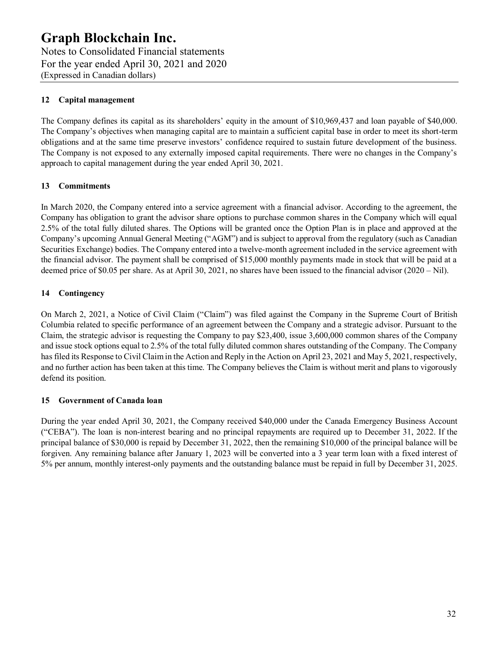Notes to Consolidated Financial statements For the year ended April 30, 2021 and 2020 (Expressed in Canadian dollars)

#### **12 Capital management**

The Company defines its capital as its shareholders' equity in the amount of \$10,969,437 and loan payable of \$40,000. The Company's objectives when managing capital are to maintain a sufficient capital base in order to meet its short-term obligations and at the same time preserve investors' confidence required to sustain future development of the business. The Company is not exposed to any externally imposed capital requirements. There were no changes in the Company's approach to capital management during the year ended April 30, 2021.

#### **13 Commitments**

In March 2020, the Company entered into a service agreement with a financial advisor. According to the agreement, the Company has obligation to grant the advisor share options to purchase common shares in the Company which will equal 2.5% of the total fully diluted shares. The Options will be granted once the Option Plan is in place and approved at the Company's upcoming Annual General Meeting ("AGM") and is subject to approval from the regulatory (such as Canadian Securities Exchange) bodies. The Company entered into a twelve-month agreement included in the service agreement with the financial advisor. The payment shall be comprised of \$15,000 monthly payments made in stock that will be paid at a deemed price of \$0.05 per share. As at April 30, 2021, no shares have been issued to the financial advisor (2020 – Nil).

#### **14 Contingency**

On March 2, 2021, a Notice of Civil Claim ("Claim") was filed against the Company in the Supreme Court of British Columbia related to specific performance of an agreement between the Company and a strategic advisor. Pursuant to the Claim, the strategic advisor is requesting the Company to pay \$23,400, issue 3,600,000 common shares of the Company and issue stock options equal to 2.5% of the total fully diluted common shares outstanding of the Company. The Company has filed its Response to Civil Claim in the Action and Reply in the Action on April 23, 2021 and May 5, 2021, respectively, and no further action has been taken at this time. The Company believes the Claim is without merit and plans to vigorously defend its position.

#### **15 Government of Canada loan**

During the year ended April 30, 2021, the Company received \$40,000 under the Canada Emergency Business Account ("CEBA"). The loan is non-interest bearing and no principal repayments are required up to December 31, 2022. If the principal balance of \$30,000 is repaid by December 31, 2022, then the remaining \$10,000 of the principal balance will be forgiven. Any remaining balance after January 1, 2023 will be converted into a 3 year term loan with a fixed interest of 5% per annum, monthly interest-only payments and the outstanding balance must be repaid in full by December 31, 2025.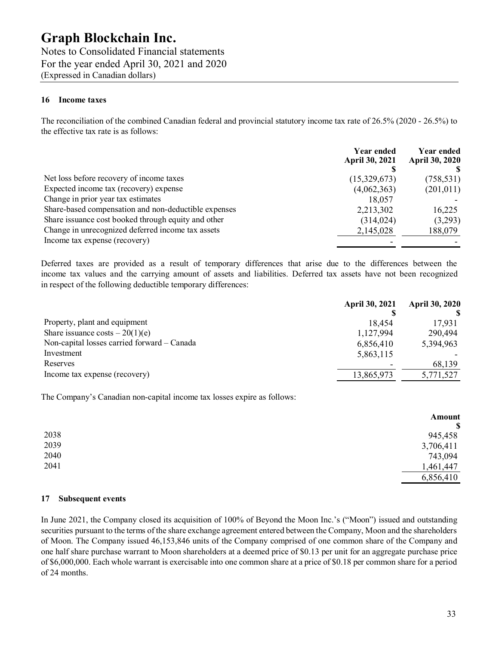Notes to Consolidated Financial statements For the year ended April 30, 2021 and 2020 (Expressed in Canadian dollars)

#### **16 Income taxes**

The reconciliation of the combined Canadian federal and provincial statutory income tax rate of 26.5% (2020 - 26.5%) to the effective tax rate is as follows:

|                                                      | <b>Year ended</b><br><b>April 30, 2021</b> | <b>Year ended</b><br><b>April 30, 2020</b> |
|------------------------------------------------------|--------------------------------------------|--------------------------------------------|
|                                                      |                                            |                                            |
| Net loss before recovery of income taxes             | (15,329,673)                               | (758, 531)                                 |
| Expected income tax (recovery) expense               | (4,062,363)                                | (201, 011)                                 |
| Change in prior year tax estimates                   | 18,057                                     |                                            |
| Share-based compensation and non-deductible expenses | 2,213,302                                  | 16,225                                     |
| Share issuance cost booked through equity and other  | (314, 024)                                 | (3,293)                                    |
| Change in unrecognized deferred income tax assets    | 2,145,028                                  | 188,079                                    |
| Income tax expense (recovery)                        |                                            |                                            |

Deferred taxes are provided as a result of temporary differences that arise due to the differences between the income tax values and the carrying amount of assets and liabilities. Deferred tax assets have not been recognized in respect of the following deductible temporary differences:

|                                             | <b>April 30, 2021</b> | <b>April 30, 2020</b> |
|---------------------------------------------|-----------------------|-----------------------|
|                                             |                       |                       |
| Property, plant and equipment               | 18,454                | 17,931                |
| Share issuance costs $-20(1)(e)$            | 1,127,994             | 290,494               |
| Non-capital losses carried forward - Canada | 6,856,410             | 5,394,963             |
| Investment                                  | 5,863,115             |                       |
| Reserves                                    |                       | 68,139                |
| Income tax expense (recovery)               | 13,865,973            | 5,771,527             |
|                                             |                       |                       |

The Company's Canadian non-capital income tax losses expire as follows:

|      | Amount<br>\$ |
|------|--------------|
| 2038 | 945,458      |
| 2039 | 3,706,411    |
| 2040 | 743,094      |
| 2041 | 1,461,447    |
|      | 6,856,410    |

#### **17 Subsequent events**

In June 2021, the Company closed its acquisition of 100% of Beyond the Moon Inc.'s ("Moon") issued and outstanding securities pursuant to the terms of the share exchange agreement entered between the Company, Moon and the shareholders of Moon. The Company issued 46,153,846 units of the Company comprised of one common share of the Company and one half share purchase warrant to Moon shareholders at a deemed price of \$0.13 per unit for an aggregate purchase price of \$6,000,000. Each whole warrant is exercisable into one common share at a price of \$0.18 per common share for a period of 24 months.